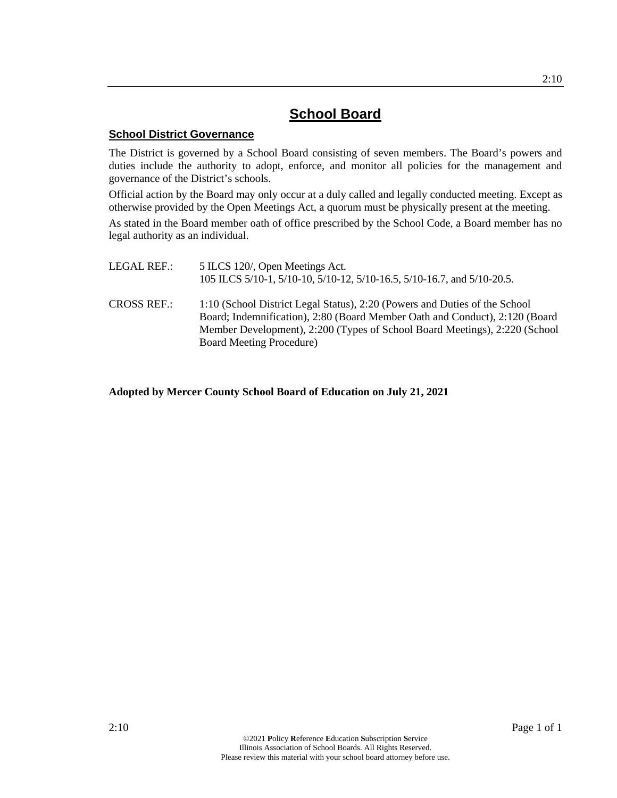### **School District Governance**

The District is governed by a School Board consisting of seven members. The Board's powers and duties include the authority to adopt, enforce, and monitor all policies for the management and governance of the District's schools.

Official action by the Board may only occur at a duly called and legally conducted meeting. Except as otherwise provided by the Open Meetings Act, a quorum must be physically present at the meeting.

As stated in the Board member oath of office prescribed by the School Code, a Board member has no legal authority as an individual.

| LEGAL REF.:        | 5 ILCS 120/, Open Meetings Act.<br>105 ILCS 5/10-1, 5/10-10, 5/10-12, 5/10-16.5, 5/10-16.7, and 5/10-20.5.                                                                                                                                                                  |
|--------------------|-----------------------------------------------------------------------------------------------------------------------------------------------------------------------------------------------------------------------------------------------------------------------------|
| <b>CROSS REF.:</b> | 1:10 (School District Legal Status), 2:20 (Powers and Duties of the School<br>Board; Indemnification), 2:80 (Board Member Oath and Conduct), 2:120 (Board<br>Member Development), 2:200 (Types of School Board Meetings), 2:220 (School<br><b>Board Meeting Procedure</b> ) |

**Adopted by Mercer County School Board of Education on July 21, 2021**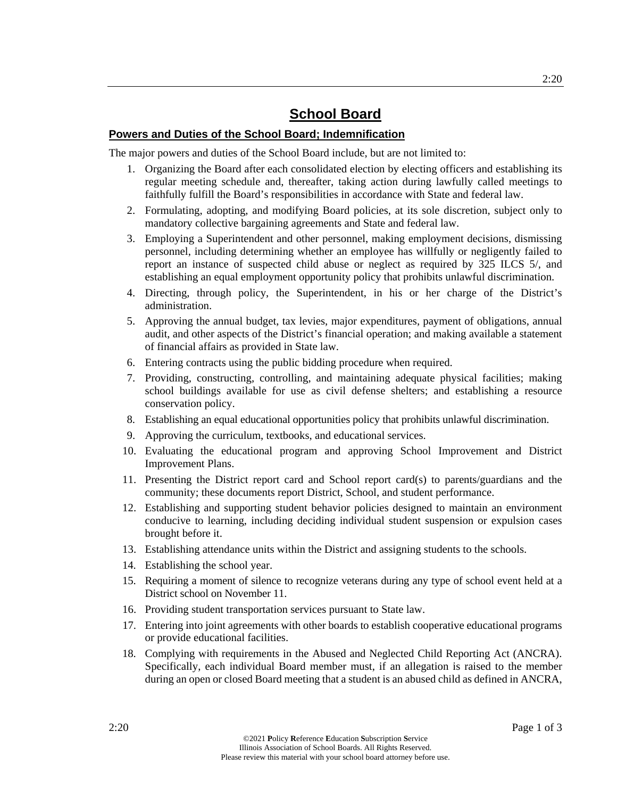## **Powers and Duties of the School Board; Indemnification**

The major powers and duties of the School Board include, but are not limited to:

- 1. Organizing the Board after each consolidated election by electing officers and establishing its regular meeting schedule and, thereafter, taking action during lawfully called meetings to faithfully fulfill the Board's responsibilities in accordance with State and federal law.
- 2. Formulating, adopting, and modifying Board policies, at its sole discretion, subject only to mandatory collective bargaining agreements and State and federal law.
- 3. Employing a Superintendent and other personnel, making employment decisions, dismissing personnel, including determining whether an employee has willfully or negligently failed to report an instance of suspected child abuse or neglect as required by 325 ILCS 5/, and establishing an equal employment opportunity policy that prohibits unlawful discrimination.
- 4. Directing, through policy, the Superintendent, in his or her charge of the District's administration.
- 5. Approving the annual budget, tax levies, major expenditures, payment of obligations, annual audit, and other aspects of the District's financial operation; and making available a statement of financial affairs as provided in State law.
- 6. Entering contracts using the public bidding procedure when required.
- 7. Providing, constructing, controlling, and maintaining adequate physical facilities; making school buildings available for use as civil defense shelters; and establishing a resource conservation policy.
- 8. Establishing an equal educational opportunities policy that prohibits unlawful discrimination.
- 9. Approving the curriculum, textbooks, and educational services.
- 10. Evaluating the educational program and approving School Improvement and District Improvement Plans.
- 11. Presenting the District report card and School report card(s) to parents/guardians and the community; these documents report District, School, and student performance.
- 12. Establishing and supporting student behavior policies designed to maintain an environment conducive to learning, including deciding individual student suspension or expulsion cases brought before it.
- 13. Establishing attendance units within the District and assigning students to the schools.
- 14. Establishing the school year.
- 15. Requiring a moment of silence to recognize veterans during any type of school event held at a District school on November 11.
- 16. Providing student transportation services pursuant to State law.
- 17. Entering into joint agreements with other boards to establish cooperative educational programs or provide educational facilities.
- 18. Complying with requirements in the Abused and Neglected Child Reporting Act (ANCRA). Specifically, each individual Board member must, if an allegation is raised to the member during an open or closed Board meeting that a student is an abused child as defined in ANCRA,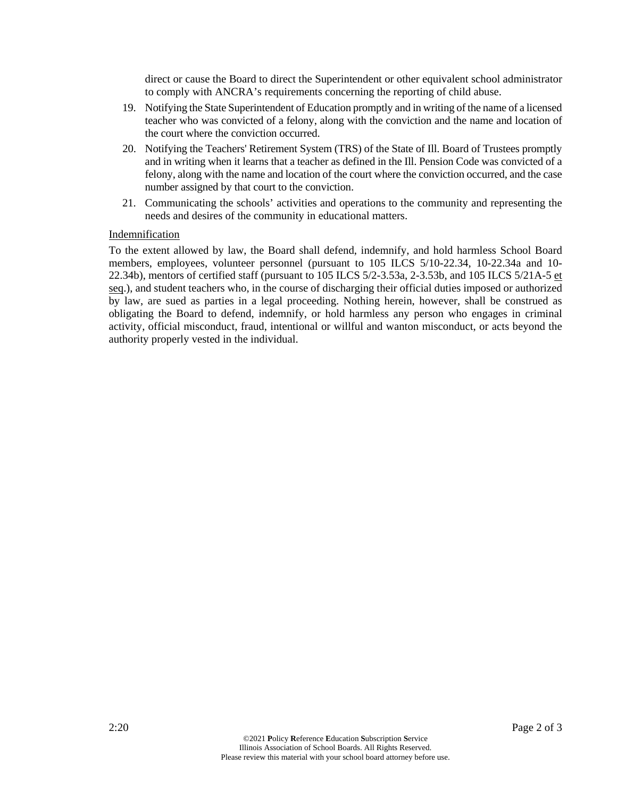direct or cause the Board to direct the Superintendent or other equivalent school administrator to comply with ANCRA's requirements concerning the reporting of child abuse.

- 19. Notifying the State Superintendent of Education promptly and in writing of the name of a licensed teacher who was convicted of a felony, along with the conviction and the name and location of the court where the conviction occurred.
- 20. Notifying the Teachers' Retirement System (TRS) of the State of Ill. Board of Trustees promptly and in writing when it learns that a teacher as defined in the Ill. Pension Code was convicted of a felony, along with the name and location of the court where the conviction occurred, and the case number assigned by that court to the conviction.
- 21. Communicating the schools' activities and operations to the community and representing the needs and desires of the community in educational matters.

#### Indemnification

To the extent allowed by law, the Board shall defend, indemnify, and hold harmless School Board members, employees, volunteer personnel (pursuant to 105 ILCS 5/10-22.34, 10-22.34a and 10- 22.34b), mentors of certified staff (pursuant to 105 ILCS 5/2-3.53a, 2-3.53b, and 105 ILCS 5/21A-5 et seq.), and student teachers who, in the course of discharging their official duties imposed or authorized by law, are sued as parties in a legal proceeding. Nothing herein, however, shall be construed as obligating the Board to defend, indemnify, or hold harmless any person who engages in criminal activity, official misconduct, fraud, intentional or willful and wanton misconduct, or acts beyond the authority properly vested in the individual.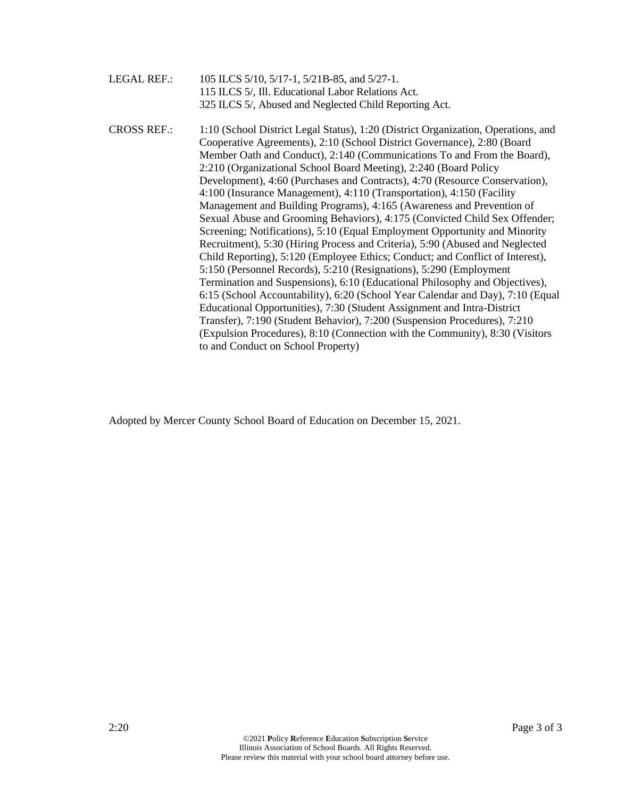LEGAL REF.: 105 ILCS 5/10, 5/17-1, 5/21B-85, and 5/27-1. 115 ILCS 5/, Ill. Educational Labor Relations Act. 325 ILCS 5/, Abused and Neglected Child Reporting Act. CROSS REF.: 1:10 (School District Legal Status), 1:20 (District Organization, Operations, and Cooperative Agreements), 2:10 (School District Governance), 2:80 (Board Member Oath and Conduct), 2:140 (Communications To and From the Board), 2:210 (Organizational School Board Meeting), 2:240 (Board Policy Development), 4:60 (Purchases and Contracts), 4:70 (Resource Conservation), 4:100 (Insurance Management), 4:110 (Transportation), 4:150 (Facility Management and Building Programs), 4:165 (Awareness and Prevention of Sexual Abuse and Grooming Behaviors), 4:175 (Convicted Child Sex Offender; Screening; Notifications), 5:10 (Equal Employment Opportunity and Minority Recruitment), 5:30 (Hiring Process and Criteria), 5:90 (Abused and Neglected Child Reporting), 5:120 (Employee Ethics; Conduct; and Conflict of Interest), 5:150 (Personnel Records), 5:210 (Resignations), 5:290 (Employment Termination and Suspensions), 6:10 (Educational Philosophy and Objectives), 6:15 (School Accountability), 6:20 (School Year Calendar and Day), 7:10 (Equal Educational Opportunities), 7:30 (Student Assignment and Intra-District Transfer), 7:190 (Student Behavior), 7:200 (Suspension Procedures), 7:210 (Expulsion Procedures), 8:10 (Connection with the Community), 8:30 (Visitors to and Conduct on School Property)

Adopted by Mercer County School Board of Education on December 15, 2021.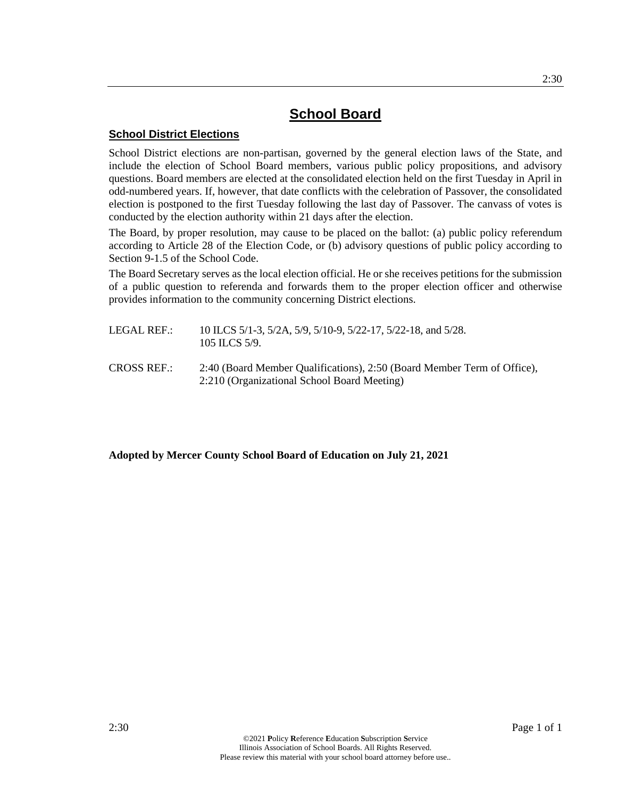## **School District Elections**

School District elections are non-partisan, governed by the general election laws of the State, and include the election of School Board members, various public policy propositions, and advisory questions. Board members are elected at the consolidated election held on the first Tuesday in April in odd-numbered years. If, however, that date conflicts with the celebration of Passover, the consolidated election is postponed to the first Tuesday following the last day of Passover. The canvass of votes is conducted by the election authority within 21 days after the election.

The Board, by proper resolution, may cause to be placed on the ballot: (a) public policy referendum according to Article 28 of the Election Code, or (b) advisory questions of public policy according to Section 9-1.5 of the School Code.

The Board Secretary serves as the local election official. He or she receives petitions for the submission of a public question to referenda and forwards them to the proper election officer and otherwise provides information to the community concerning District elections.

- LEGAL REF.: 10 ILCS 5/1-3, 5/2A, 5/9, 5/10-9, 5/22-17, 5/22-18, and 5/28. 105 ILCS 5/9.
- CROSS REF.: 2:40 (Board Member Qualifications), 2:50 (Board Member Term of Office), 2:210 (Organizational School Board Meeting)

## **Adopted by Mercer County School Board of Education on July 21, 2021**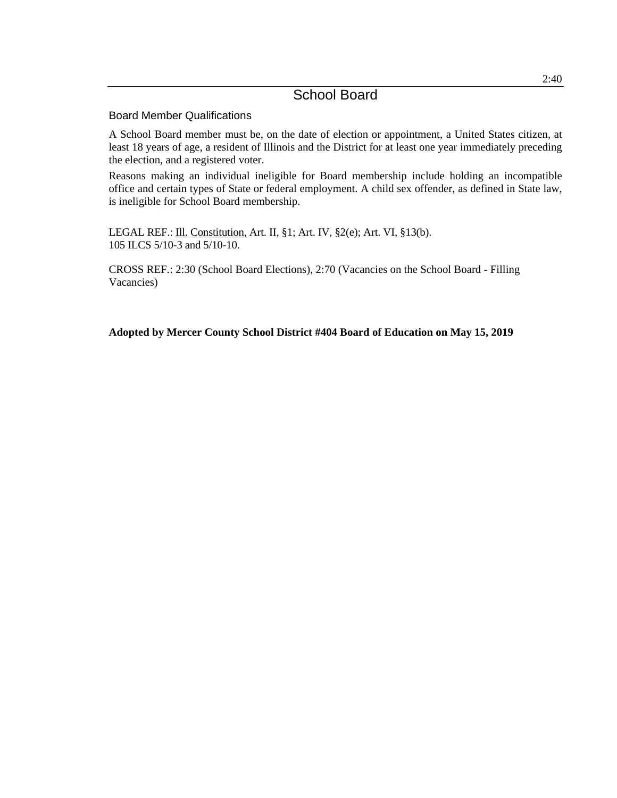## Board Member Qualifications

A School Board member must be, on the date of election or appointment, a United States citizen, at least 18 years of age, a resident of Illinois and the District for at least one year immediately preceding the election, and a registered voter.

Reasons making an individual ineligible for Board membership include holding an incompatible office and certain types of State or federal employment. A child sex offender, as defined in State law, is ineligible for School Board membership.

LEGAL REF.: Ill. Constitution, Art. II, §1; Art. IV, §2(e); Art. VI, §13(b). 105 ILCS 5/10-3 and 5/10-10.

CROSS REF.: 2:30 (School Board Elections), 2:70 (Vacancies on the School Board - Filling Vacancies)

**Adopted by Mercer County School District #404 Board of Education on May 15, 2019**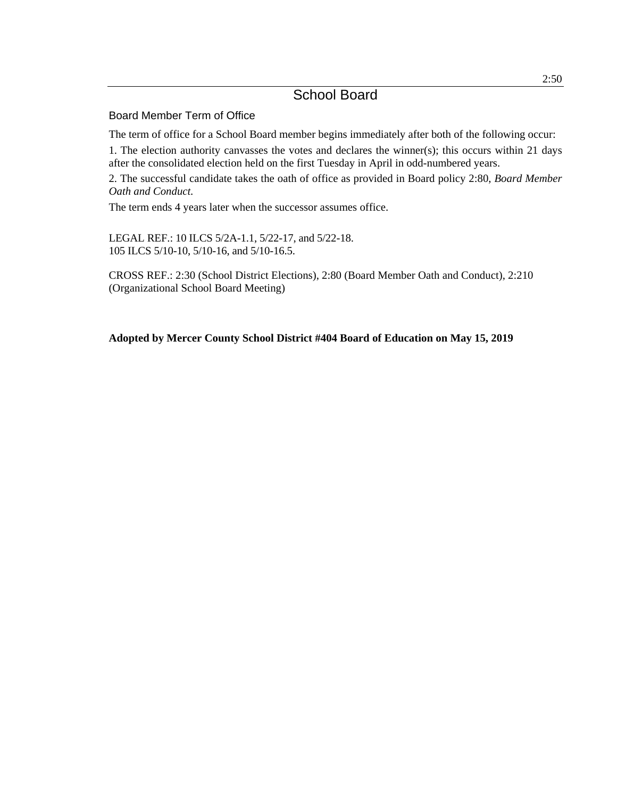## Board Member Term of Office

The term of office for a School Board member begins immediately after both of the following occur:

1. The election authority canvasses the votes and declares the winner(s); this occurs within 21 days after the consolidated election held on the first Tuesday in April in odd-numbered years.

2. The successful candidate takes the oath of office as provided in Board policy 2:80, *Board Member Oath and Conduct.*

The term ends 4 years later when the successor assumes office.

LEGAL REF.: 10 ILCS 5/2A-1.1, 5/22-17, and 5/22-18. 105 ILCS 5/10-10, 5/10-16, and 5/10-16.5.

CROSS REF.: 2:30 (School District Elections), 2:80 (Board Member Oath and Conduct), 2:210 (Organizational School Board Meeting)

## **Adopted by Mercer County School District #404 Board of Education on May 15, 2019**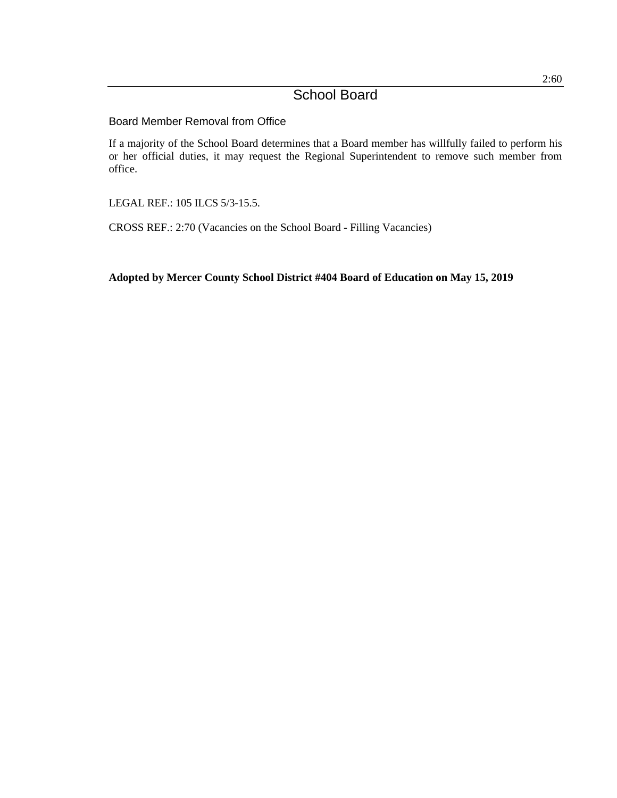## Board Member Removal from Office

If a majority of the School Board determines that a Board member has willfully failed to perform his or her official duties, it may request the Regional Superintendent to remove such member from office.

LEGAL REF.: 105 ILCS 5/3-15.5.

CROSS REF.: 2:70 (Vacancies on the School Board - Filling Vacancies)

**Adopted by Mercer County School District #404 Board of Education on May 15, 2019**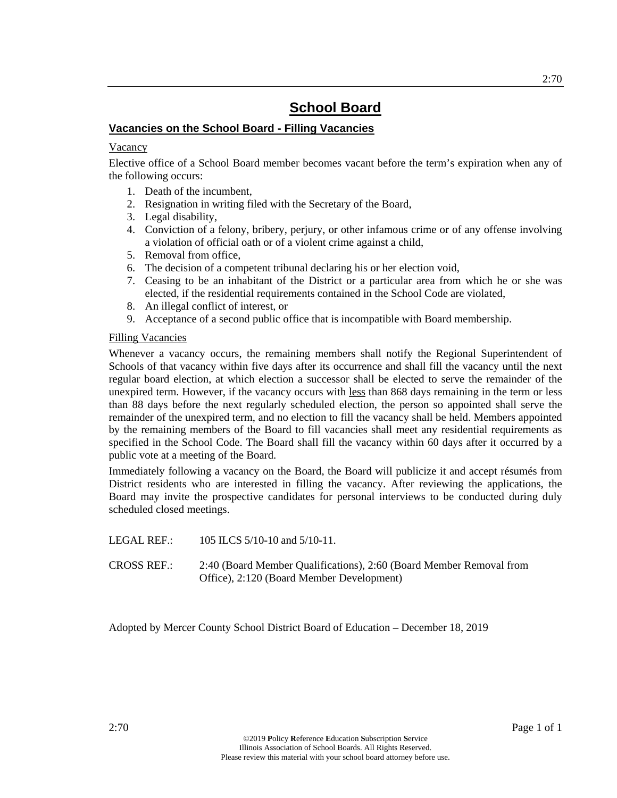## **Vacancies on the School Board - Filling Vacancies**

## Vacancy

Elective office of a School Board member becomes vacant before the term's expiration when any of the following occurs:

- 1. Death of the incumbent,
- 2. Resignation in writing filed with the Secretary of the Board,
- 3. Legal disability,
- 4. Conviction of a felony, bribery, perjury, or other infamous crime or of any offense involving a violation of official oath or of a violent crime against a child,
- 5. Removal from office,
- 6. The decision of a competent tribunal declaring his or her election void,
- 7. Ceasing to be an inhabitant of the District or a particular area from which he or she was elected, if the residential requirements contained in the School Code are violated,
- 8. An illegal conflict of interest, or
- 9. Acceptance of a second public office that is incompatible with Board membership.

## Filling Vacancies

Whenever a vacancy occurs, the remaining members shall notify the Regional Superintendent of Schools of that vacancy within five days after its occurrence and shall fill the vacancy until the next regular board election, at which election a successor shall be elected to serve the remainder of the unexpired term. However, if the vacancy occurs with <u>less</u> than 868 days remaining in the term or less than 88 days before the next regularly scheduled election, the person so appointed shall serve the remainder of the unexpired term, and no election to fill the vacancy shall be held. Members appointed by the remaining members of the Board to fill vacancies shall meet any residential requirements as specified in the School Code. The Board shall fill the vacancy within 60 days after it occurred by a public vote at a meeting of the Board.

Immediately following a vacancy on the Board, the Board will publicize it and accept résumés from District residents who are interested in filling the vacancy. After reviewing the applications, the Board may invite the prospective candidates for personal interviews to be conducted during duly scheduled closed meetings.

- LEGAL REF.: 105 ILCS 5/10-10 and 5/10-11.
- CROSS REF.: 2:40 (Board Member Qualifications), 2:60 (Board Member Removal from Office), 2:120 (Board Member Development)

Adopted by Mercer County School District Board of Education – December 18, 2019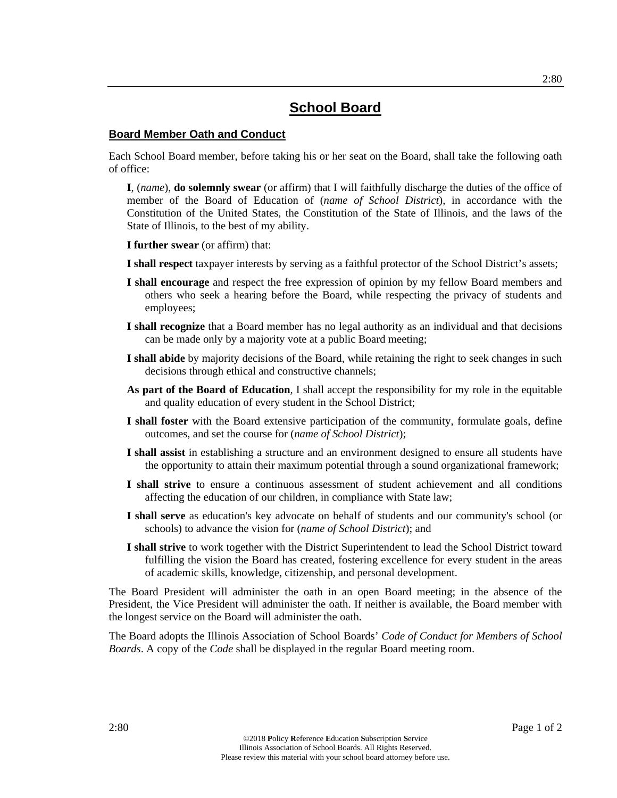### **Board Member Oath and Conduct**

Each School Board member, before taking his or her seat on the Board, shall take the following oath of office:

**I**, (*name*), **do solemnly swear** (or affirm) that I will faithfully discharge the duties of the office of member of the Board of Education of (*name of School District*), in accordance with the Constitution of the United States, the Constitution of the State of Illinois, and the laws of the State of Illinois, to the best of my ability.

**I further swear** (or affirm) that:

- **I shall respect** taxpayer interests by serving as a faithful protector of the School District's assets;
- **I shall encourage** and respect the free expression of opinion by my fellow Board members and others who seek a hearing before the Board, while respecting the privacy of students and employees;
- **I shall recognize** that a Board member has no legal authority as an individual and that decisions can be made only by a majority vote at a public Board meeting;
- **I shall abide** by majority decisions of the Board, while retaining the right to seek changes in such decisions through ethical and constructive channels;
- **As part of the Board of Education**, I shall accept the responsibility for my role in the equitable and quality education of every student in the School District;
- **I shall foster** with the Board extensive participation of the community, formulate goals, define outcomes, and set the course for (*name of School District*);
- **I shall assist** in establishing a structure and an environment designed to ensure all students have the opportunity to attain their maximum potential through a sound organizational framework;
- **I shall strive** to ensure a continuous assessment of student achievement and all conditions affecting the education of our children, in compliance with State law;
- **I shall serve** as education's key advocate on behalf of students and our community's school (or schools) to advance the vision for (*name of School District*); and
- **I shall strive** to work together with the District Superintendent to lead the School District toward fulfilling the vision the Board has created, fostering excellence for every student in the areas of academic skills, knowledge, citizenship, and personal development.

The Board President will administer the oath in an open Board meeting; in the absence of the President, the Vice President will administer the oath. If neither is available, the Board member with the longest service on the Board will administer the oath.

The Board adopts the Illinois Association of School Boards' *Code of Conduct for Members of School Boards*. A copy of the *Code* shall be displayed in the regular Board meeting room.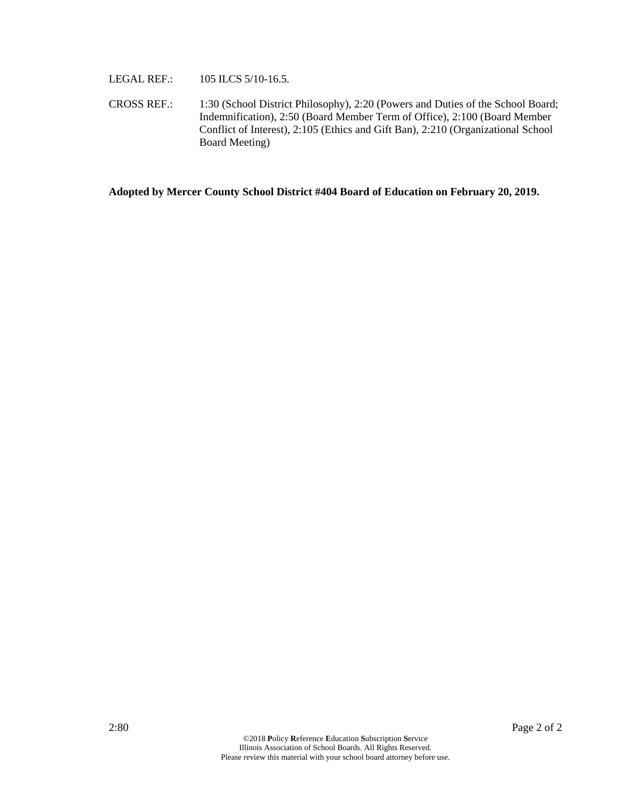LEGAL REF.: 105 ILCS 5/10-16.5.

CROSS REF.: 1:30 (School District Philosophy), 2:20 (Powers and Duties of the School Board; Indemnification), 2:50 (Board Member Term of Office), 2:100 (Board Member Conflict of Interest), 2:105 (Ethics and Gift Ban), 2:210 (Organizational School Board Meeting)

**Adopted by Mercer County School District #404 Board of Education on February 20, 2019.**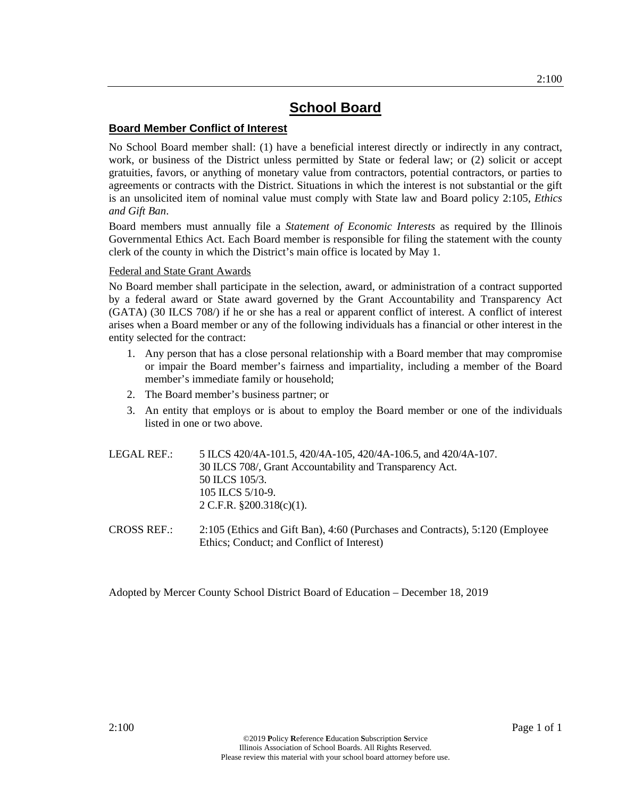## **Board Member Conflict of Interest**

No School Board member shall: (1) have a beneficial interest directly or indirectly in any contract, work, or business of the District unless permitted by State or federal law; or (2) solicit or accept gratuities, favors, or anything of monetary value from contractors, potential contractors, or parties to agreements or contracts with the District. Situations in which the interest is not substantial or the gift is an unsolicited item of nominal value must comply with State law and Board policy 2:105, *Ethics and Gift Ban*.

Board members must annually file a *Statement of Economic Interests* as required by the Illinois Governmental Ethics Act. Each Board member is responsible for filing the statement with the county clerk of the county in which the District's main office is located by May 1.

## Federal and State Grant Awards

No Board member shall participate in the selection, award, or administration of a contract supported by a federal award or State award governed by the Grant Accountability and Transparency Act (GATA) (30 ILCS 708/) if he or she has a real or apparent conflict of interest. A conflict of interest arises when a Board member or any of the following individuals has a financial or other interest in the entity selected for the contract:

- 1. Any person that has a close personal relationship with a Board member that may compromise or impair the Board member's fairness and impartiality, including a member of the Board member's immediate family or household;
- 2. The Board member's business partner; or
- 3. An entity that employs or is about to employ the Board member or one of the individuals listed in one or two above.

| LEGAL REF.: | 5 ILCS 420/4A-101.5, 420/4A-105, 420/4A-106.5, and 420/4A-107. |
|-------------|----------------------------------------------------------------|
|             | 30 ILCS 708/, Grant Accountability and Transparency Act.       |
|             | 50 ILCS 105/3.                                                 |
|             | 105 ILCS 5/10-9.                                               |
|             | 2 C.F.R. $\S 200.318(c)(1)$ .                                  |

CROSS REF.: 2:105 (Ethics and Gift Ban), 4:60 (Purchases and Contracts), 5:120 (Employee Ethics; Conduct; and Conflict of Interest)

Adopted by Mercer County School District Board of Education – December 18, 2019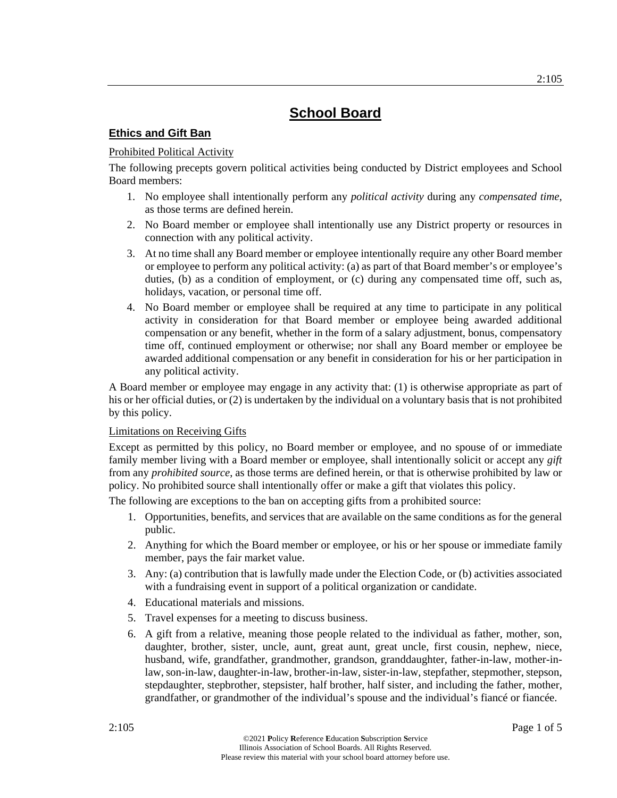## **Ethics and Gift Ban**

## Prohibited Political Activity

The following precepts govern political activities being conducted by District employees and School Board members:

- 1. No employee shall intentionally perform any *political activity* during any *compensated time*, as those terms are defined herein.
- 2. No Board member or employee shall intentionally use any District property or resources in connection with any political activity.
- 3. At no time shall any Board member or employee intentionally require any other Board member or employee to perform any political activity: (a) as part of that Board member's or employee's duties, (b) as a condition of employment, or (c) during any compensated time off, such as, holidays, vacation, or personal time off.
- 4. No Board member or employee shall be required at any time to participate in any political activity in consideration for that Board member or employee being awarded additional compensation or any benefit, whether in the form of a salary adjustment, bonus, compensatory time off, continued employment or otherwise; nor shall any Board member or employee be awarded additional compensation or any benefit in consideration for his or her participation in any political activity.

A Board member or employee may engage in any activity that: (1) is otherwise appropriate as part of his or her official duties, or (2) is undertaken by the individual on a voluntary basis that is not prohibited by this policy.

## Limitations on Receiving Gifts

Except as permitted by this policy, no Board member or employee, and no spouse of or immediate family member living with a Board member or employee, shall intentionally solicit or accept any *gift* from any *prohibited source*, as those terms are defined herein, or that is otherwise prohibited by law or policy. No prohibited source shall intentionally offer or make a gift that violates this policy.

The following are exceptions to the ban on accepting gifts from a prohibited source:

- 1. Opportunities, benefits, and services that are available on the same conditions as for the general public.
- 2. Anything for which the Board member or employee, or his or her spouse or immediate family member, pays the fair market value.
- 3. Any: (a) contribution that is lawfully made under the Election Code, or (b) activities associated with a fundraising event in support of a political organization or candidate.
- 4. Educational materials and missions.
- 5. Travel expenses for a meeting to discuss business.
- 6. A gift from a relative, meaning those people related to the individual as father, mother, son, daughter, brother, sister, uncle, aunt, great aunt, great uncle, first cousin, nephew, niece, husband, wife, grandfather, grandmother, grandson, granddaughter, father-in-law, mother-inlaw, son-in-law, daughter-in-law, brother-in-law, sister-in-law, stepfather, stepmother, stepson, stepdaughter, stepbrother, stepsister, half brother, half sister, and including the father, mother, grandfather, or grandmother of the individual's spouse and the individual's fiancé or fiancée.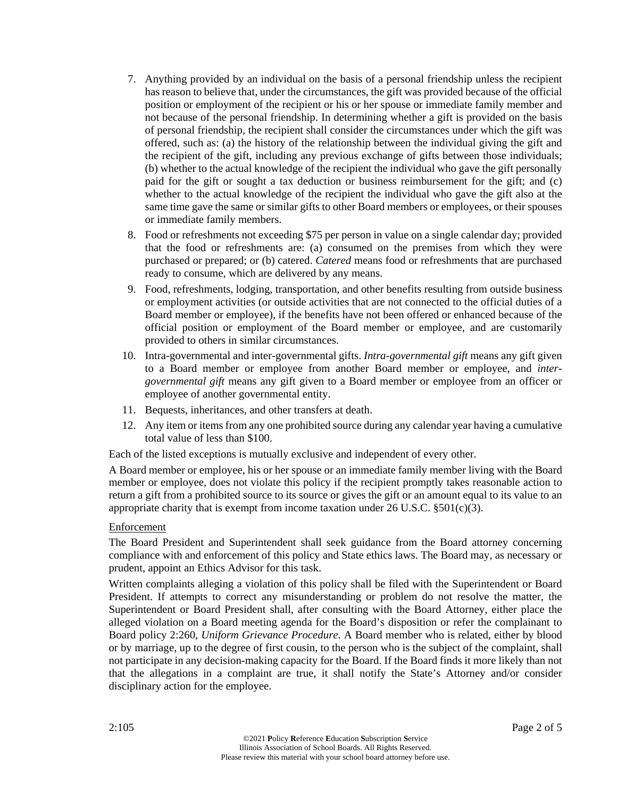- 7. Anything provided by an individual on the basis of a personal friendship unless the recipient has reason to believe that, under the circumstances, the gift was provided because of the official position or employment of the recipient or his or her spouse or immediate family member and not because of the personal friendship. In determining whether a gift is provided on the basis of personal friendship, the recipient shall consider the circumstances under which the gift was offered, such as: (a) the history of the relationship between the individual giving the gift and the recipient of the gift, including any previous exchange of gifts between those individuals; (b) whether to the actual knowledge of the recipient the individual who gave the gift personally paid for the gift or sought a tax deduction or business reimbursement for the gift; and (c) whether to the actual knowledge of the recipient the individual who gave the gift also at the same time gave the same or similar gifts to other Board members or employees, or their spouses or immediate family members.
- 8. Food or refreshments not exceeding \$75 per person in value on a single calendar day; provided that the food or refreshments are: (a) consumed on the premises from which they were purchased or prepared; or (b) catered. *Catered* means food or refreshments that are purchased ready to consume, which are delivered by any means.
- 9. Food, refreshments, lodging, transportation, and other benefits resulting from outside business or employment activities (or outside activities that are not connected to the official duties of a Board member or employee), if the benefits have not been offered or enhanced because of the official position or employment of the Board member or employee, and are customarily provided to others in similar circumstances.
- 10. Intra-governmental and inter-governmental gifts. *Intra-governmental gift* means any gift given to a Board member or employee from another Board member or employee, and *intergovernmental gift* means any gift given to a Board member or employee from an officer or employee of another governmental entity.
- 11. Bequests, inheritances, and other transfers at death.
- 12. Any item or items from any one prohibited source during any calendar year having a cumulative total value of less than \$100.

Each of the listed exceptions is mutually exclusive and independent of every other.

A Board member or employee, his or her spouse or an immediate family member living with the Board member or employee, does not violate this policy if the recipient promptly takes reasonable action to return a gift from a prohibited source to its source or gives the gift or an amount equal to its value to an appropriate charity that is exempt from income taxation under  $26 \text{ U.S.C. } \S 501 \text{(c)}(3)$ .

## Enforcement

The Board President and Superintendent shall seek guidance from the Board attorney concerning compliance with and enforcement of this policy and State ethics laws. The Board may, as necessary or prudent, appoint an Ethics Advisor for this task.

Written complaints alleging a violation of this policy shall be filed with the Superintendent or Board President. If attempts to correct any misunderstanding or problem do not resolve the matter, the Superintendent or Board President shall, after consulting with the Board Attorney, either place the alleged violation on a Board meeting agenda for the Board's disposition or refer the complainant to Board policy 2:260, *Uniform Grievance Procedure*. A Board member who is related, either by blood or by marriage, up to the degree of first cousin, to the person who is the subject of the complaint, shall not participate in any decision-making capacity for the Board. If the Board finds it more likely than not that the allegations in a complaint are true, it shall notify the State's Attorney and/or consider disciplinary action for the employee.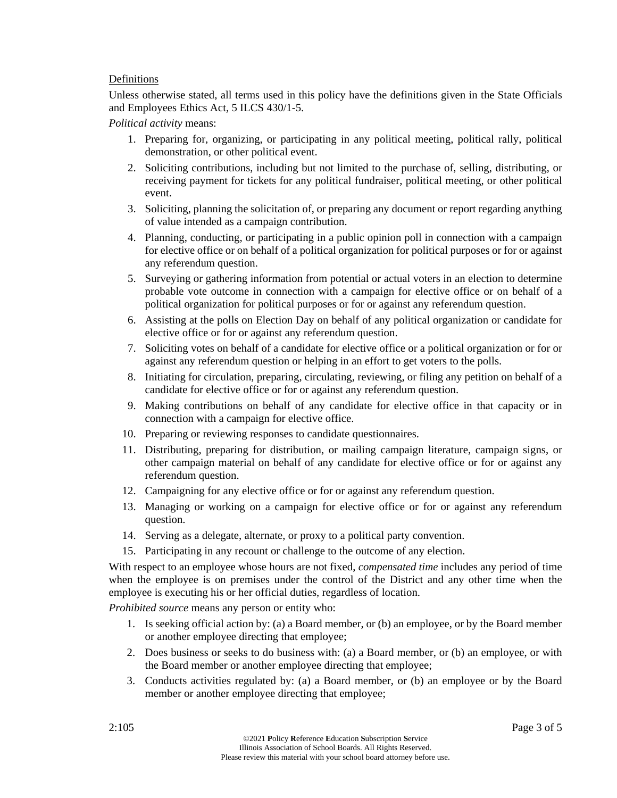## Definitions

Unless otherwise stated, all terms used in this policy have the definitions given in the State Officials and Employees Ethics Act, 5 ILCS 430/1-5.

*Political activity* means:

- 1. Preparing for, organizing, or participating in any political meeting, political rally, political demonstration, or other political event.
- 2. Soliciting contributions, including but not limited to the purchase of, selling, distributing, or receiving payment for tickets for any political fundraiser, political meeting, or other political event.
- 3. Soliciting, planning the solicitation of, or preparing any document or report regarding anything of value intended as a campaign contribution.
- 4. Planning, conducting, or participating in a public opinion poll in connection with a campaign for elective office or on behalf of a political organization for political purposes or for or against any referendum question.
- 5. Surveying or gathering information from potential or actual voters in an election to determine probable vote outcome in connection with a campaign for elective office or on behalf of a political organization for political purposes or for or against any referendum question.
- 6. Assisting at the polls on Election Day on behalf of any political organization or candidate for elective office or for or against any referendum question.
- 7. Soliciting votes on behalf of a candidate for elective office or a political organization or for or against any referendum question or helping in an effort to get voters to the polls.
- 8. Initiating for circulation, preparing, circulating, reviewing, or filing any petition on behalf of a candidate for elective office or for or against any referendum question.
- 9. Making contributions on behalf of any candidate for elective office in that capacity or in connection with a campaign for elective office.
- 10. Preparing or reviewing responses to candidate questionnaires.
- 11. Distributing, preparing for distribution, or mailing campaign literature, campaign signs, or other campaign material on behalf of any candidate for elective office or for or against any referendum question.
- 12. Campaigning for any elective office or for or against any referendum question.
- 13. Managing or working on a campaign for elective office or for or against any referendum question.
- 14. Serving as a delegate, alternate, or proxy to a political party convention.
- 15. Participating in any recount or challenge to the outcome of any election.

With respect to an employee whose hours are not fixed, *compensated time* includes any period of time when the employee is on premises under the control of the District and any other time when the employee is executing his or her official duties, regardless of location.

*Prohibited source* means any person or entity who:

- 1. Is seeking official action by: (a) a Board member, or (b) an employee, or by the Board member or another employee directing that employee;
- 2. Does business or seeks to do business with: (a) a Board member, or (b) an employee, or with the Board member or another employee directing that employee;
- 3. Conducts activities regulated by: (a) a Board member, or (b) an employee or by the Board member or another employee directing that employee;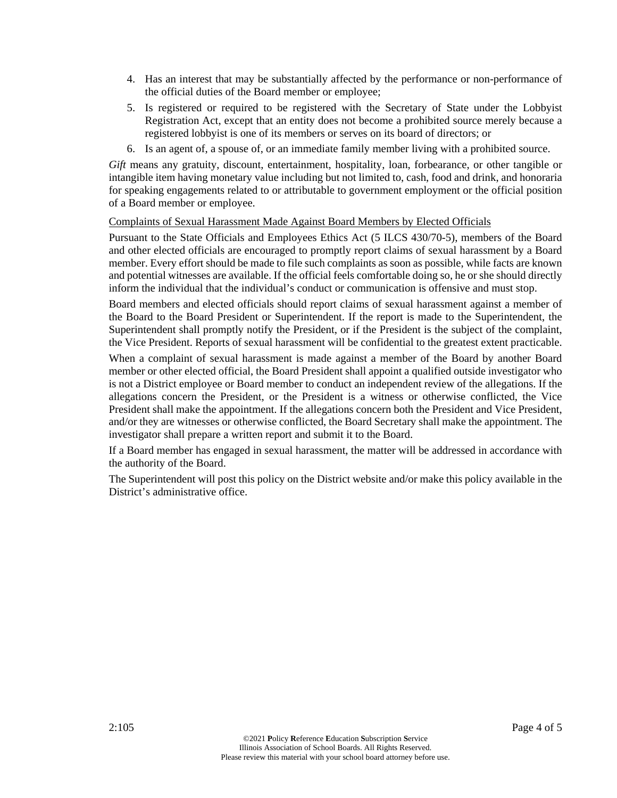- 4. Has an interest that may be substantially affected by the performance or non-performance of the official duties of the Board member or employee;
- 5. Is registered or required to be registered with the Secretary of State under the Lobbyist Registration Act, except that an entity does not become a prohibited source merely because a registered lobbyist is one of its members or serves on its board of directors; or
- 6. Is an agent of, a spouse of, or an immediate family member living with a prohibited source.

*Gift* means any gratuity, discount, entertainment, hospitality, loan, forbearance, or other tangible or intangible item having monetary value including but not limited to, cash, food and drink, and honoraria for speaking engagements related to or attributable to government employment or the official position of a Board member or employee.

### Complaints of Sexual Harassment Made Against Board Members by Elected Officials

Pursuant to the State Officials and Employees Ethics Act (5 ILCS 430/70-5), members of the Board and other elected officials are encouraged to promptly report claims of sexual harassment by a Board member. Every effort should be made to file such complaints as soon as possible, while facts are known and potential witnesses are available. If the official feels comfortable doing so, he or she should directly inform the individual that the individual's conduct or communication is offensive and must stop.

Board members and elected officials should report claims of sexual harassment against a member of the Board to the Board President or Superintendent. If the report is made to the Superintendent, the Superintendent shall promptly notify the President, or if the President is the subject of the complaint, the Vice President. Reports of sexual harassment will be confidential to the greatest extent practicable.

When a complaint of sexual harassment is made against a member of the Board by another Board member or other elected official, the Board President shall appoint a qualified outside investigator who is not a District employee or Board member to conduct an independent review of the allegations. If the allegations concern the President, or the President is a witness or otherwise conflicted, the Vice President shall make the appointment. If the allegations concern both the President and Vice President, and/or they are witnesses or otherwise conflicted, the Board Secretary shall make the appointment. The investigator shall prepare a written report and submit it to the Board.

If a Board member has engaged in sexual harassment, the matter will be addressed in accordance with the authority of the Board.

The Superintendent will post this policy on the District website and/or make this policy available in the District's administrative office.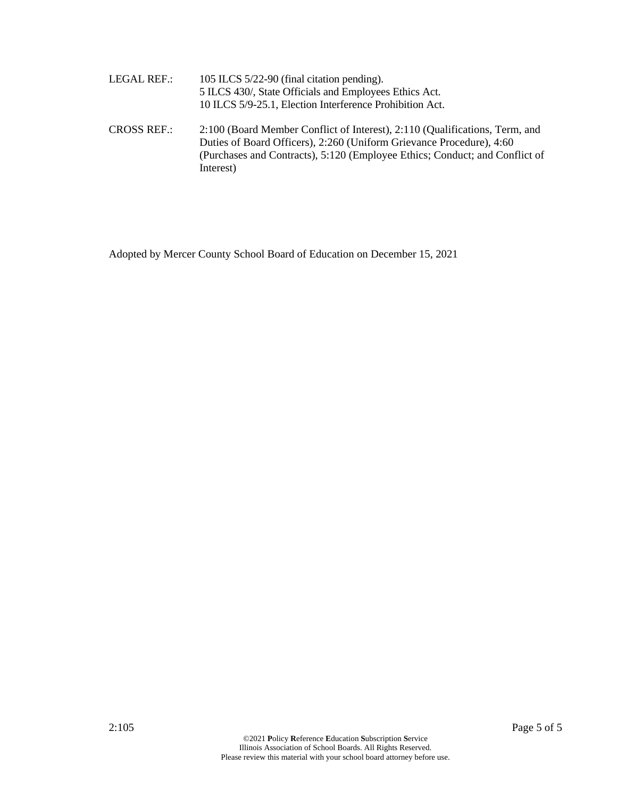| LEGAL REF.: | 105 ILCS 5/22-90 (final citation pending).               |
|-------------|----------------------------------------------------------|
|             | 5 ILCS 430/, State Officials and Employees Ethics Act.   |
|             | 10 ILCS 5/9-25.1. Election Interference Prohibition Act. |

CROSS REF.: 2:100 (Board Member Conflict of Interest), 2:110 (Qualifications, Term, and Duties of Board Officers), 2:260 (Uniform Grievance Procedure), 4:60 (Purchases and Contracts), 5:120 (Employee Ethics; Conduct; and Conflict of Interest)

Adopted by Mercer County School Board of Education on December 15, 2021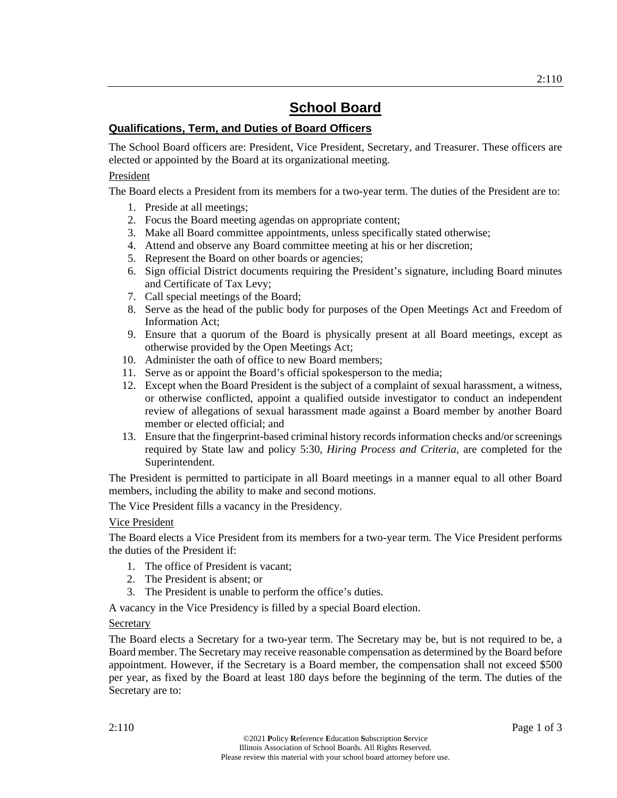## **Qualifications, Term, and Duties of Board Officers**

The School Board officers are: President, Vice President, Secretary, and Treasurer. These officers are elected or appointed by the Board at its organizational meeting.

## President

The Board elects a President from its members for a two-year term. The duties of the President are to:

- 1. Preside at all meetings;
- 2. Focus the Board meeting agendas on appropriate content;
- 3. Make all Board committee appointments, unless specifically stated otherwise;
- 4. Attend and observe any Board committee meeting at his or her discretion;
- 5. Represent the Board on other boards or agencies;
- 6. Sign official District documents requiring the President's signature, including Board minutes and Certificate of Tax Levy;
- 7. Call special meetings of the Board;
- 8. Serve as the head of the public body for purposes of the Open Meetings Act and Freedom of Information Act;
- 9. Ensure that a quorum of the Board is physically present at all Board meetings, except as otherwise provided by the Open Meetings Act;
- 10. Administer the oath of office to new Board members;
- 11. Serve as or appoint the Board's official spokesperson to the media;
- 12. Except when the Board President is the subject of a complaint of sexual harassment, a witness, or otherwise conflicted, appoint a qualified outside investigator to conduct an independent review of allegations of sexual harassment made against a Board member by another Board member or elected official; and
- 13. Ensure that the fingerprint-based criminal history records information checks and/or screenings required by State law and policy 5:30, *Hiring Process and Criteria*, are completed for the Superintendent.

The President is permitted to participate in all Board meetings in a manner equal to all other Board members, including the ability to make and second motions.

The Vice President fills a vacancy in the Presidency.

## Vice President

The Board elects a Vice President from its members for a two-year term. The Vice President performs the duties of the President if:

- 1. The office of President is vacant;
- 2. The President is absent; or
- 3. The President is unable to perform the office's duties.

A vacancy in the Vice Presidency is filled by a special Board election.

## **Secretary**

The Board elects a Secretary for a two-year term. The Secretary may be, but is not required to be, a Board member. The Secretary may receive reasonable compensation as determined by the Board before appointment. However, if the Secretary is a Board member, the compensation shall not exceed \$500 per year, as fixed by the Board at least 180 days before the beginning of the term. The duties of the Secretary are to: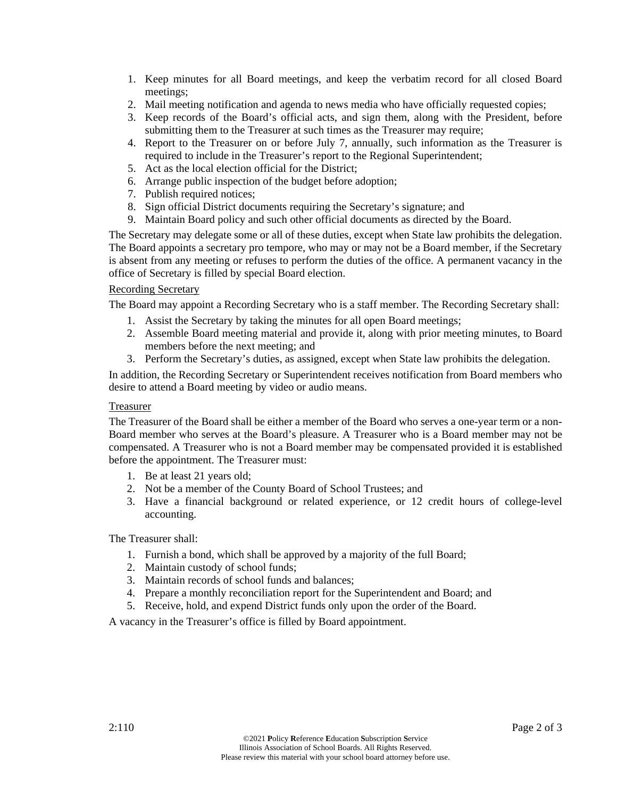- 1. Keep minutes for all Board meetings, and keep the verbatim record for all closed Board meetings;
- 2. Mail meeting notification and agenda to news media who have officially requested copies;
- 3. Keep records of the Board's official acts, and sign them, along with the President, before submitting them to the Treasurer at such times as the Treasurer may require;
- 4. Report to the Treasurer on or before July 7, annually, such information as the Treasurer is required to include in the Treasurer's report to the Regional Superintendent;
- 5. Act as the local election official for the District;
- 6. Arrange public inspection of the budget before adoption;
- 7. Publish required notices;
- 8. Sign official District documents requiring the Secretary's signature; and
- 9. Maintain Board policy and such other official documents as directed by the Board.

The Secretary may delegate some or all of these duties, except when State law prohibits the delegation. The Board appoints a secretary pro tempore, who may or may not be a Board member, if the Secretary is absent from any meeting or refuses to perform the duties of the office. A permanent vacancy in the office of Secretary is filled by special Board election.

## Recording Secretary

The Board may appoint a Recording Secretary who is a staff member. The Recording Secretary shall:

- 1. Assist the Secretary by taking the minutes for all open Board meetings;
- 2. Assemble Board meeting material and provide it, along with prior meeting minutes, to Board members before the next meeting; and
- 3. Perform the Secretary's duties, as assigned, except when State law prohibits the delegation.

In addition, the Recording Secretary or Superintendent receives notification from Board members who desire to attend a Board meeting by video or audio means.

#### Treasurer

The Treasurer of the Board shall be either a member of the Board who serves a one-year term or a non-Board member who serves at the Board's pleasure. A Treasurer who is a Board member may not be compensated. A Treasurer who is not a Board member may be compensated provided it is established before the appointment. The Treasurer must:

- 1. Be at least 21 years old;
- 2. Not be a member of the County Board of School Trustees; and
- 3. Have a financial background or related experience, or 12 credit hours of college-level accounting.

The Treasurer shall:

- 1. Furnish a bond, which shall be approved by a majority of the full Board;
- 2. Maintain custody of school funds;
- 3. Maintain records of school funds and balances;
- 4. Prepare a monthly reconciliation report for the Superintendent and Board; and
- 5. Receive, hold, and expend District funds only upon the order of the Board.

A vacancy in the Treasurer's office is filled by Board appointment.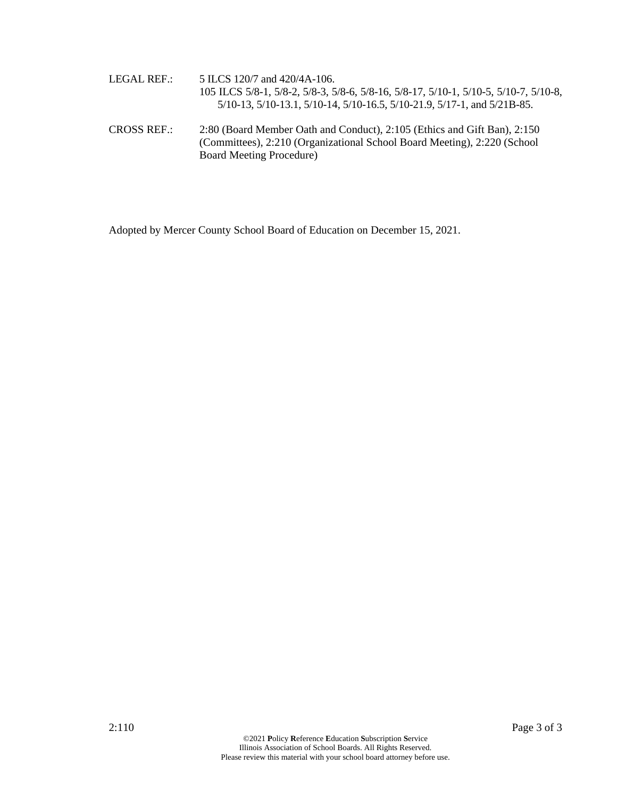- LEGAL REF.: 5 ILCS 120/7 and 420/4A-106. 105 ILCS 5/8-1, 5/8-2, 5/8-3, 5/8-6, 5/8-16, 5/8-17, 5/10-1, 5/10-5, 5/10-7, 5/10-8, 5/10-13, 5/10-13.1, 5/10-14, 5/10-16.5, 5/10-21.9, 5/17-1, and 5/21B-85.
- CROSS REF.: 2:80 (Board Member Oath and Conduct), 2:105 (Ethics and Gift Ban), 2:150 (Committees), 2:210 (Organizational School Board Meeting), 2:220 (School Board Meeting Procedure)

Adopted by Mercer County School Board of Education on December 15, 2021.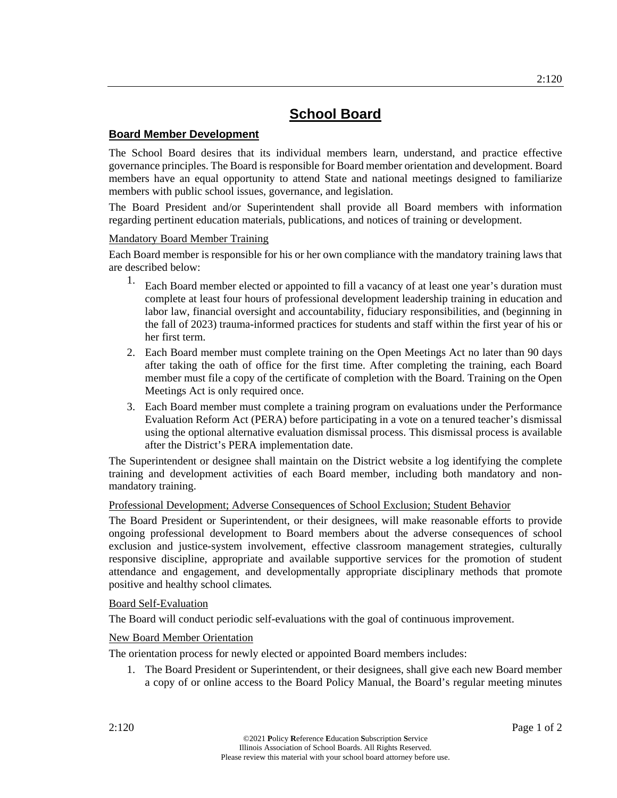## **Board Member Development**

The School Board desires that its individual members learn, understand, and practice effective governance principles. The Board is responsible for Board member orientation and development. Board members have an equal opportunity to attend State and national meetings designed to familiarize members with public school issues, governance, and legislation.

The Board President and/or Superintendent shall provide all Board members with information regarding pertinent education materials, publications, and notices of training or development.

## Mandatory Board Member Training

Each Board member is responsible for his or her own compliance with the mandatory training laws that are described below:

- 1. Each Board member elected or appointed to fill a vacancy of at least one year's duration must complete at least four hours of professional development leadership training in education and labor law, financial oversight and accountability, fiduciary responsibilities, and (beginning in the fall of 2023) trauma-informed practices for students and staff within the first year of his or her first term.
- 2. Each Board member must complete training on the Open Meetings Act no later than 90 days after taking the oath of office for the first time. After completing the training, each Board member must file a copy of the certificate of completion with the Board. Training on the Open Meetings Act is only required once.
- 3. Each Board member must complete a training program on evaluations under the Performance Evaluation Reform Act (PERA) before participating in a vote on a tenured teacher's dismissal using the optional alternative evaluation dismissal process. This dismissal process is available after the District's PERA implementation date.

The Superintendent or designee shall maintain on the District website a log identifying the complete training and development activities of each Board member, including both mandatory and nonmandatory training.

## Professional Development; Adverse Consequences of School Exclusion; Student Behavior

The Board President or Superintendent, or their designees, will make reasonable efforts to provide ongoing professional development to Board members about the adverse consequences of school exclusion and justice-system involvement, effective classroom management strategies, culturally responsive discipline, appropriate and available supportive services for the promotion of student attendance and engagement, and developmentally appropriate disciplinary methods that promote positive and healthy school climates*.*

## Board Self-Evaluation

The Board will conduct periodic self-evaluations with the goal of continuous improvement.

## New Board Member Orientation

The orientation process for newly elected or appointed Board members includes:

1. The Board President or Superintendent, or their designees, shall give each new Board member a copy of or online access to the Board Policy Manual, the Board's regular meeting minutes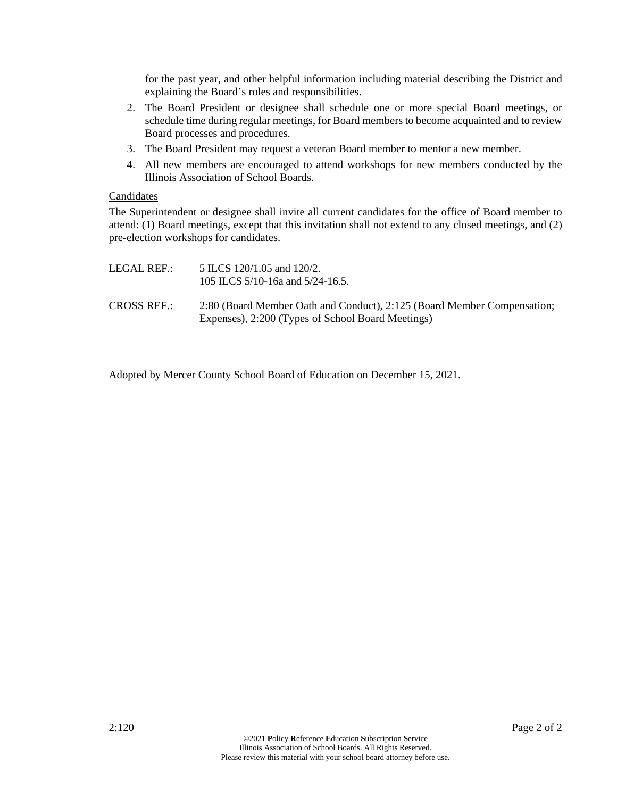for the past year, and other helpful information including material describing the District and explaining the Board's roles and responsibilities.

- 2. The Board President or designee shall schedule one or more special Board meetings, or schedule time during regular meetings, for Board members to become acquainted and to review Board processes and procedures.
- 3. The Board President may request a veteran Board member to mentor a new member.
- 4. All new members are encouraged to attend workshops for new members conducted by the Illinois Association of School Boards.

### **Candidates**

The Superintendent or designee shall invite all current candidates for the office of Board member to attend: (1) Board meetings, except that this invitation shall not extend to any closed meetings, and (2) pre-election workshops for candidates.

| LEGAL REF.:        | 5 ILCS 120/1.05 and 120/2.<br>105 ILCS 5/10-16a and 5/24-16.5.                                                               |
|--------------------|------------------------------------------------------------------------------------------------------------------------------|
| <b>CROSS REF.:</b> | 2:80 (Board Member Oath and Conduct), 2:125 (Board Member Compensation;<br>Expenses), 2:200 (Types of School Board Meetings) |

Adopted by Mercer County School Board of Education on December 15, 2021.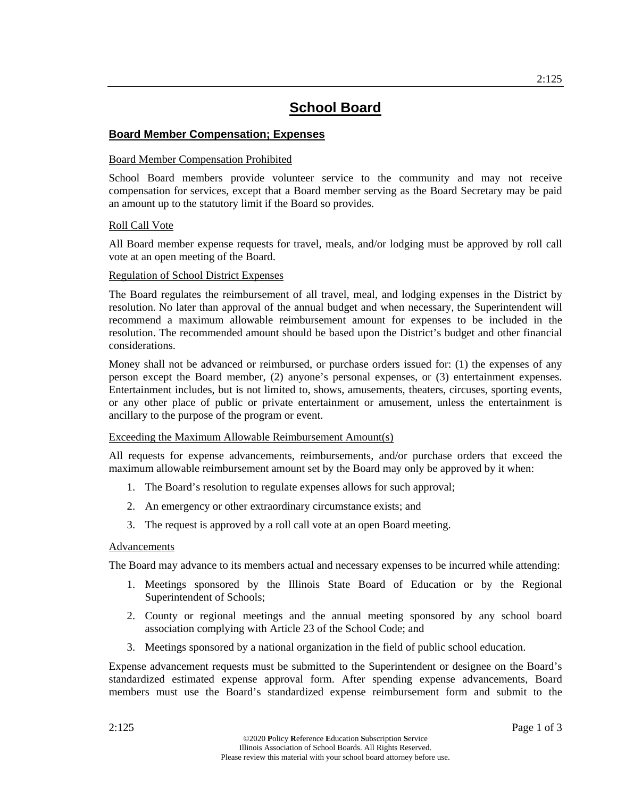## **Board Member Compensation; Expenses**

### Board Member Compensation Prohibited

School Board members provide volunteer service to the community and may not receive compensation for services, except that a Board member serving as the Board Secretary may be paid an amount up to the statutory limit if the Board so provides.

## Roll Call Vote

All Board member expense requests for travel, meals, and/or lodging must be approved by roll call vote at an open meeting of the Board.

### Regulation of School District Expenses

The Board regulates the reimbursement of all travel, meal, and lodging expenses in the District by resolution. No later than approval of the annual budget and when necessary, the Superintendent will recommend a maximum allowable reimbursement amount for expenses to be included in the resolution. The recommended amount should be based upon the District's budget and other financial considerations.

Money shall not be advanced or reimbursed, or purchase orders issued for: (1) the expenses of any person except the Board member, (2) anyone's personal expenses, or (3) entertainment expenses. Entertainment includes, but is not limited to, shows, amusements, theaters, circuses, sporting events, or any other place of public or private entertainment or amusement, unless the entertainment is ancillary to the purpose of the program or event.

## Exceeding the Maximum Allowable Reimbursement Amount(s)

All requests for expense advancements, reimbursements, and/or purchase orders that exceed the maximum allowable reimbursement amount set by the Board may only be approved by it when:

- 1. The Board's resolution to regulate expenses allows for such approval;
- 2. An emergency or other extraordinary circumstance exists; and
- 3. The request is approved by a roll call vote at an open Board meeting.

#### Advancements

The Board may advance to its members actual and necessary expenses to be incurred while attending:

- 1. Meetings sponsored by the Illinois State Board of Education or by the Regional Superintendent of Schools;
- 2. County or regional meetings and the annual meeting sponsored by any school board association complying with Article 23 of the School Code; and
- 3. Meetings sponsored by a national organization in the field of public school education.

Expense advancement requests must be submitted to the Superintendent or designee on the Board's standardized estimated expense approval form. After spending expense advancements, Board members must use the Board's standardized expense reimbursement form and submit to the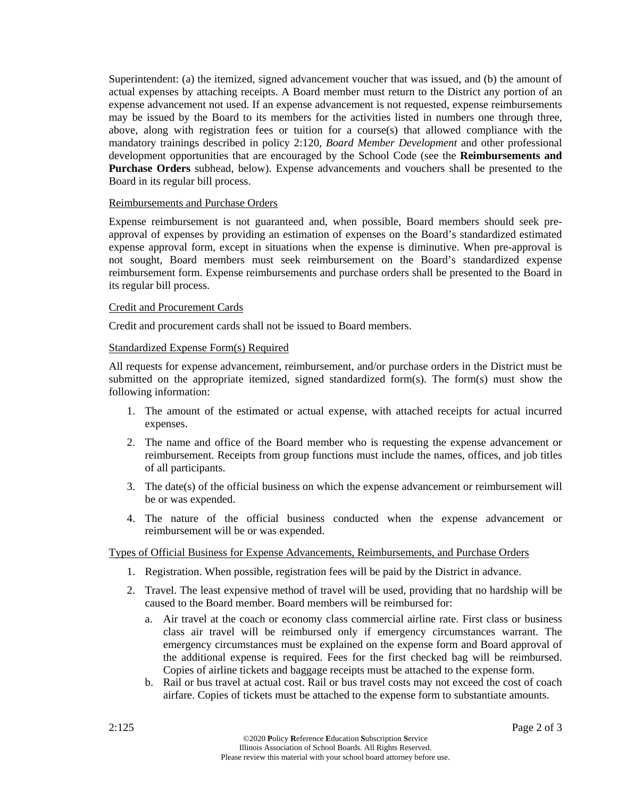Superintendent: (a) the itemized, signed advancement voucher that was issued, and (b) the amount of actual expenses by attaching receipts. A Board member must return to the District any portion of an expense advancement not used. If an expense advancement is not requested, expense reimbursements may be issued by the Board to its members for the activities listed in numbers one through three, above, along with registration fees or tuition for a course(s) that allowed compliance with the mandatory trainings described in policy 2:120, *Board Member Development* and other professional development opportunities that are encouraged by the School Code (see the **Reimbursements and Purchase Orders** subhead, below). Expense advancements and vouchers shall be presented to the Board in its regular bill process.

### Reimbursements and Purchase Orders

Expense reimbursement is not guaranteed and, when possible, Board members should seek preapproval of expenses by providing an estimation of expenses on the Board's standardized estimated expense approval form, except in situations when the expense is diminutive. When pre-approval is not sought, Board members must seek reimbursement on the Board's standardized expense reimbursement form. Expense reimbursements and purchase orders shall be presented to the Board in its regular bill process.

#### Credit and Procurement Cards

Credit and procurement cards shall not be issued to Board members.

#### Standardized Expense Form(s) Required

All requests for expense advancement, reimbursement, and/or purchase orders in the District must be submitted on the appropriate itemized, signed standardized form(s). The form(s) must show the following information:

- 1. The amount of the estimated or actual expense, with attached receipts for actual incurred expenses.
- 2. The name and office of the Board member who is requesting the expense advancement or reimbursement. Receipts from group functions must include the names, offices, and job titles of all participants.
- 3. The date(s) of the official business on which the expense advancement or reimbursement will be or was expended.
- 4. The nature of the official business conducted when the expense advancement or reimbursement will be or was expended.

#### Types of Official Business for Expense Advancements, Reimbursements, and Purchase Orders

- 1. Registration. When possible, registration fees will be paid by the District in advance.
- 2. Travel. The least expensive method of travel will be used, providing that no hardship will be caused to the Board member. Board members will be reimbursed for:
	- a. Air travel at the coach or economy class commercial airline rate. First class or business class air travel will be reimbursed only if emergency circumstances warrant. The emergency circumstances must be explained on the expense form and Board approval of the additional expense is required. Fees for the first checked bag will be reimbursed. Copies of airline tickets and baggage receipts must be attached to the expense form.
	- b. Rail or bus travel at actual cost. Rail or bus travel costs may not exceed the cost of coach airfare. Copies of tickets must be attached to the expense form to substantiate amounts.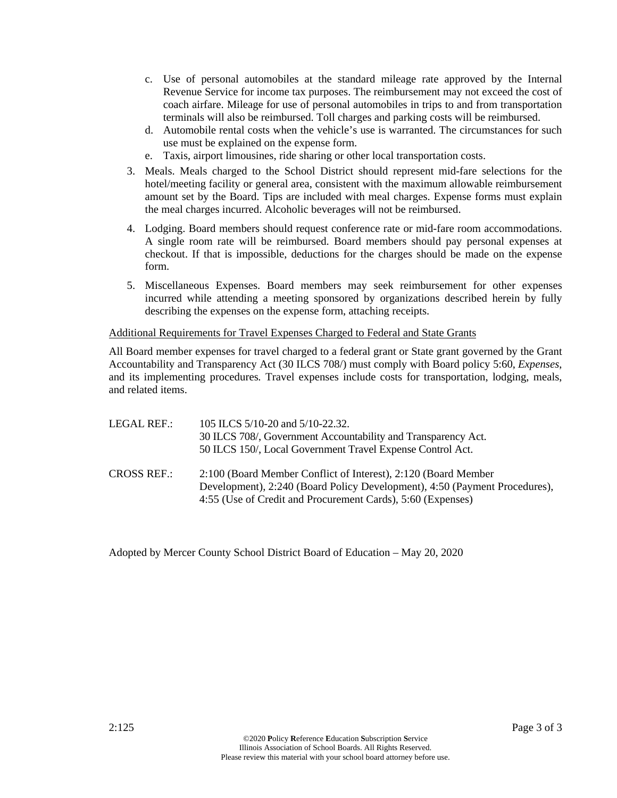- c. Use of personal automobiles at the standard mileage rate approved by the Internal Revenue Service for income tax purposes. The reimbursement may not exceed the cost of coach airfare. Mileage for use of personal automobiles in trips to and from transportation terminals will also be reimbursed. Toll charges and parking costs will be reimbursed.
- d. Automobile rental costs when the vehicle's use is warranted. The circumstances for such use must be explained on the expense form.
- e. Taxis, airport limousines, ride sharing or other local transportation costs.
- 3. Meals. Meals charged to the School District should represent mid-fare selections for the hotel/meeting facility or general area, consistent with the maximum allowable reimbursement amount set by the Board. Tips are included with meal charges. Expense forms must explain the meal charges incurred. Alcoholic beverages will not be reimbursed.
- 4. Lodging. Board members should request conference rate or mid-fare room accommodations. A single room rate will be reimbursed. Board members should pay personal expenses at checkout. If that is impossible, deductions for the charges should be made on the expense form.
- 5. Miscellaneous Expenses. Board members may seek reimbursement for other expenses incurred while attending a meeting sponsored by organizations described herein by fully describing the expenses on the expense form, attaching receipts.

## Additional Requirements for Travel Expenses Charged to Federal and State Grants

All Board member expenses for travel charged to a federal grant or State grant governed by the Grant Accountability and Transparency Act (30 ILCS 708/) must comply with Board policy 5:60, *Expenses*, and its implementing procedures*.* Travel expenses include costs for transportation, lodging, meals, and related items.

| LEGAL REF.:        | 105 ILCS 5/10-20 and 5/10-22.32.<br>30 ILCS 708/, Government Accountability and Transparency Act.<br>50 ILCS 150/, Local Government Travel Expense Control Act.                                             |
|--------------------|-------------------------------------------------------------------------------------------------------------------------------------------------------------------------------------------------------------|
| <b>CROSS REF.:</b> | 2:100 (Board Member Conflict of Interest), 2:120 (Board Member<br>Development), 2:240 (Board Policy Development), 4:50 (Payment Procedures),<br>4:55 (Use of Credit and Procurement Cards), 5:60 (Expenses) |

Adopted by Mercer County School District Board of Education – May 20, 2020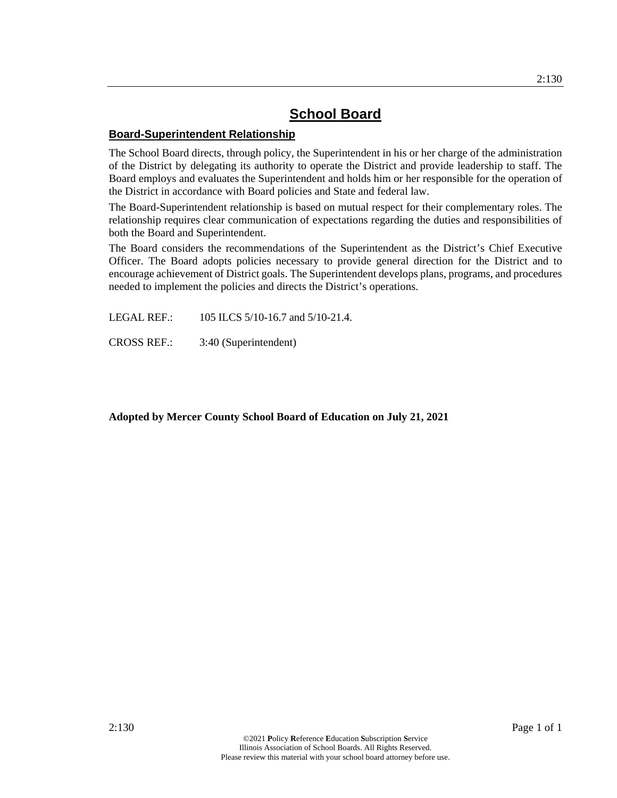## **Board-Superintendent Relationship**

The School Board directs, through policy, the Superintendent in his or her charge of the administration of the District by delegating its authority to operate the District and provide leadership to staff. The Board employs and evaluates the Superintendent and holds him or her responsible for the operation of the District in accordance with Board policies and State and federal law.

The Board-Superintendent relationship is based on mutual respect for their complementary roles. The relationship requires clear communication of expectations regarding the duties and responsibilities of both the Board and Superintendent.

The Board considers the recommendations of the Superintendent as the District's Chief Executive Officer. The Board adopts policies necessary to provide general direction for the District and to encourage achievement of District goals. The Superintendent develops plans, programs, and procedures needed to implement the policies and directs the District's operations.

LEGAL REF.: 105 ILCS 5/10-16.7 and 5/10-21.4.

CROSS REF.: 3:40 (Superintendent)

**Adopted by Mercer County School Board of Education on July 21, 2021**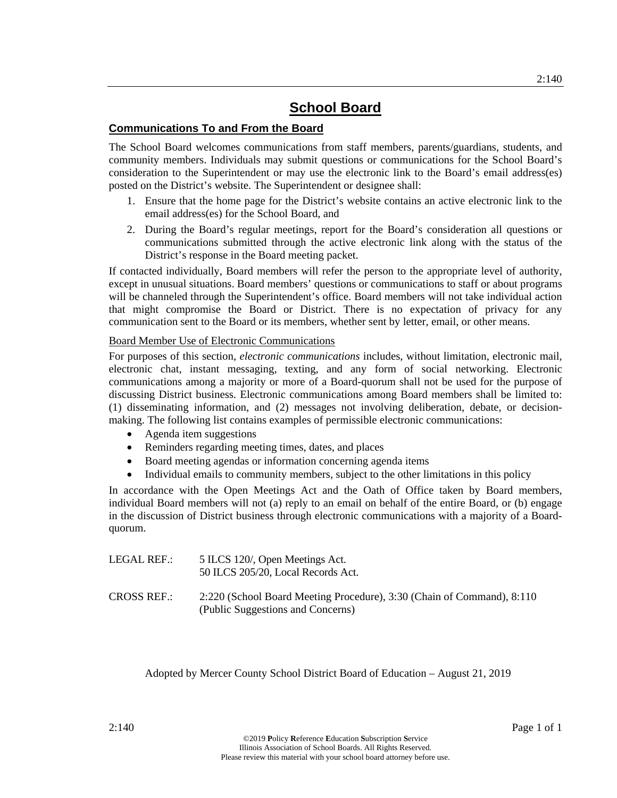## **Communications To and From the Board**

The School Board welcomes communications from staff members, parents/guardians, students, and community members. Individuals may submit questions or communications for the School Board's consideration to the Superintendent or may use the electronic link to the Board's email address(es) posted on the District's website. The Superintendent or designee shall:

- 1. Ensure that the home page for the District's website contains an active electronic link to the email address(es) for the School Board, and
- 2. During the Board's regular meetings, report for the Board's consideration all questions or communications submitted through the active electronic link along with the status of the District's response in the Board meeting packet.

If contacted individually, Board members will refer the person to the appropriate level of authority, except in unusual situations. Board members' questions or communications to staff or about programs will be channeled through the Superintendent's office. Board members will not take individual action that might compromise the Board or District. There is no expectation of privacy for any communication sent to the Board or its members, whether sent by letter, email, or other means.

## Board Member Use of Electronic Communications

For purposes of this section, *electronic communications* includes, without limitation, electronic mail, electronic chat, instant messaging, texting, and any form of social networking. Electronic communications among a majority or more of a Board-quorum shall not be used for the purpose of discussing District business. Electronic communications among Board members shall be limited to: (1) disseminating information, and (2) messages not involving deliberation, debate, or decisionmaking. The following list contains examples of permissible electronic communications:

- Agenda item suggestions
- Reminders regarding meeting times, dates, and places
- Board meeting agendas or information concerning agenda items
- Individual emails to community members, subject to the other limitations in this policy

In accordance with the Open Meetings Act and the Oath of Office taken by Board members, individual Board members will not (a) reply to an email on behalf of the entire Board, or (b) engage in the discussion of District business through electronic communications with a majority of a Boardquorum.

| LEGAL REF.: | 5 ILCS 120/, Open Meetings Act.<br>50 ILCS 205/20, Local Records Act.                                       |
|-------------|-------------------------------------------------------------------------------------------------------------|
| CROSS REF.: | 2:220 (School Board Meeting Procedure), 3:30 (Chain of Command), 8:110<br>(Public Suggestions and Concerns) |

Adopted by Mercer County School District Board of Education – August 21, 2019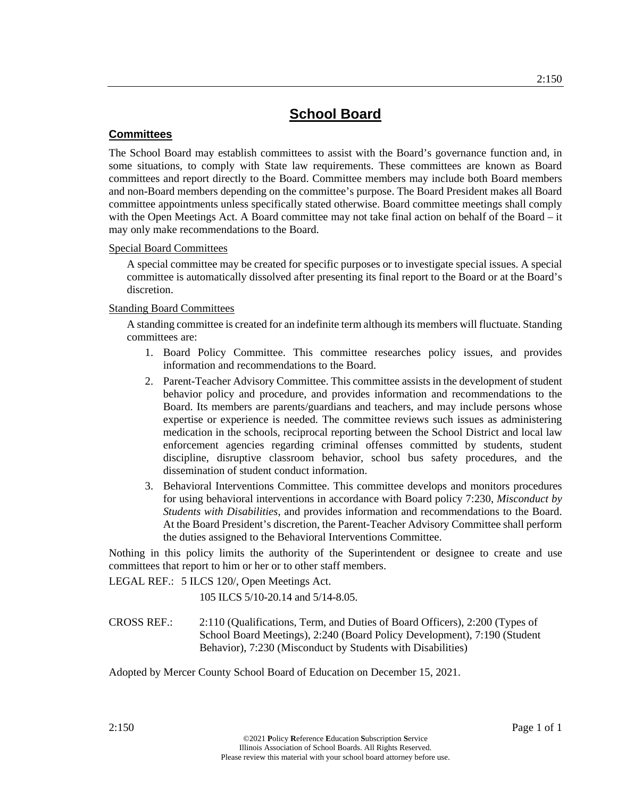## **Committees**

The School Board may establish committees to assist with the Board's governance function and, in some situations, to comply with State law requirements. These committees are known as Board committees and report directly to the Board. Committee members may include both Board members and non-Board members depending on the committee's purpose. The Board President makes all Board committee appointments unless specifically stated otherwise. Board committee meetings shall comply with the Open Meetings Act. A Board committee may not take final action on behalf of the Board – it may only make recommendations to the Board.

### Special Board Committees

A special committee may be created for specific purposes or to investigate special issues. A special committee is automatically dissolved after presenting its final report to the Board or at the Board's discretion.

## Standing Board Committees

A standing committee is created for an indefinite term although its members will fluctuate. Standing committees are:

- 1. Board Policy Committee. This committee researches policy issues, and provides information and recommendations to the Board.
- 2. Parent-Teacher Advisory Committee. This committee assists in the development of student behavior policy and procedure, and provides information and recommendations to the Board. Its members are parents/guardians and teachers, and may include persons whose expertise or experience is needed. The committee reviews such issues as administering medication in the schools, reciprocal reporting between the School District and local law enforcement agencies regarding criminal offenses committed by students, student discipline, disruptive classroom behavior, school bus safety procedures, and the dissemination of student conduct information.
- 3. Behavioral Interventions Committee. This committee develops and monitors procedures for using behavioral interventions in accordance with Board policy 7:230, *Misconduct by Students with Disabilities*, and provides information and recommendations to the Board. At the Board President's discretion, the Parent-Teacher Advisory Committee shall perform the duties assigned to the Behavioral Interventions Committee.

Nothing in this policy limits the authority of the Superintendent or designee to create and use committees that report to him or her or to other staff members.

LEGAL REF.: 5 ILCS 120/, Open Meetings Act.

105 ILCS 5/10-20.14 and 5/14-8.05.

CROSS REF.: 2:110 (Qualifications, Term, and Duties of Board Officers), 2:200 (Types of School Board Meetings), 2:240 (Board Policy Development), 7:190 (Student Behavior), 7:230 (Misconduct by Students with Disabilities)

Adopted by Mercer County School Board of Education on December 15, 2021.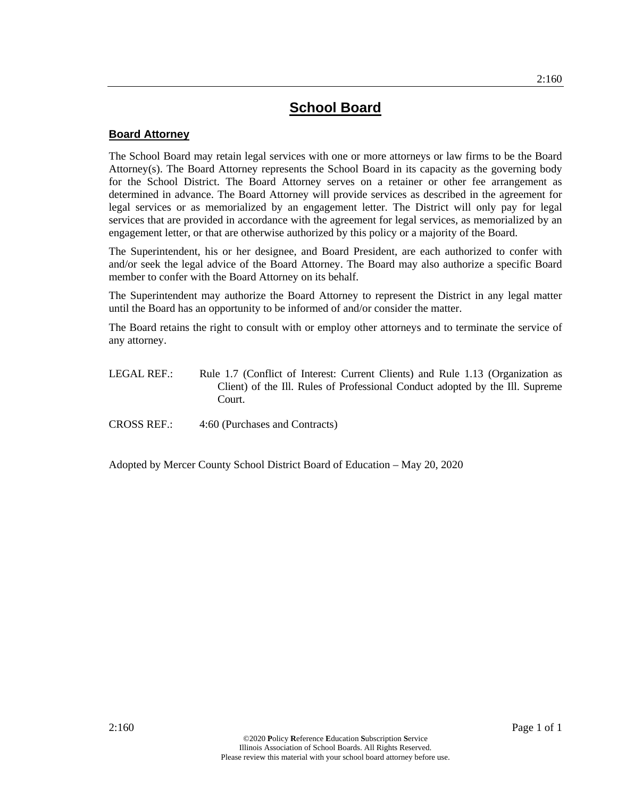## **Board Attorney**

The School Board may retain legal services with one or more attorneys or law firms to be the Board Attorney(s). The Board Attorney represents the School Board in its capacity as the governing body for the School District. The Board Attorney serves on a retainer or other fee arrangement as determined in advance. The Board Attorney will provide services as described in the agreement for legal services or as memorialized by an engagement letter. The District will only pay for legal services that are provided in accordance with the agreement for legal services, as memorialized by an engagement letter, or that are otherwise authorized by this policy or a majority of the Board.

The Superintendent, his or her designee, and Board President, are each authorized to confer with and/or seek the legal advice of the Board Attorney. The Board may also authorize a specific Board member to confer with the Board Attorney on its behalf.

The Superintendent may authorize the Board Attorney to represent the District in any legal matter until the Board has an opportunity to be informed of and/or consider the matter.

The Board retains the right to consult with or employ other attorneys and to terminate the service of any attorney.

LEGAL REF.: Rule 1.7 (Conflict of Interest: Current Clients) and Rule 1.13 (Organization as Client) of the Ill. Rules of Professional Conduct adopted by the Ill. Supreme Court.

CROSS REF.: 4:60 (Purchases and Contracts)

Adopted by Mercer County School District Board of Education – May 20, 2020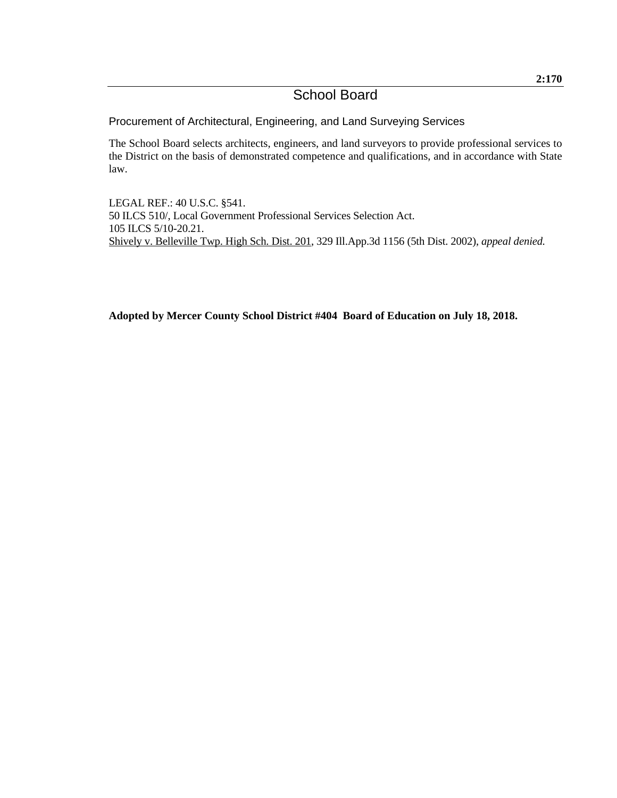Procurement of Architectural, Engineering, and Land Surveying Services

The School Board selects architects, engineers, and land surveyors to provide professional services to the District on the basis of demonstrated competence and qualifications, and in accordance with State law.

LEGAL REF.: 40 U.S.C. §541. 50 ILCS 510/, Local Government Professional Services Selection Act. 105 ILCS 5/10-20.21. Shively v. Belleville Twp. High Sch. Dist. 201, 329 Ill.App.3d 1156 (5th Dist. 2002), *appeal denied.*

**Adopted by Mercer County School District #404 Board of Education on July 18, 2018.**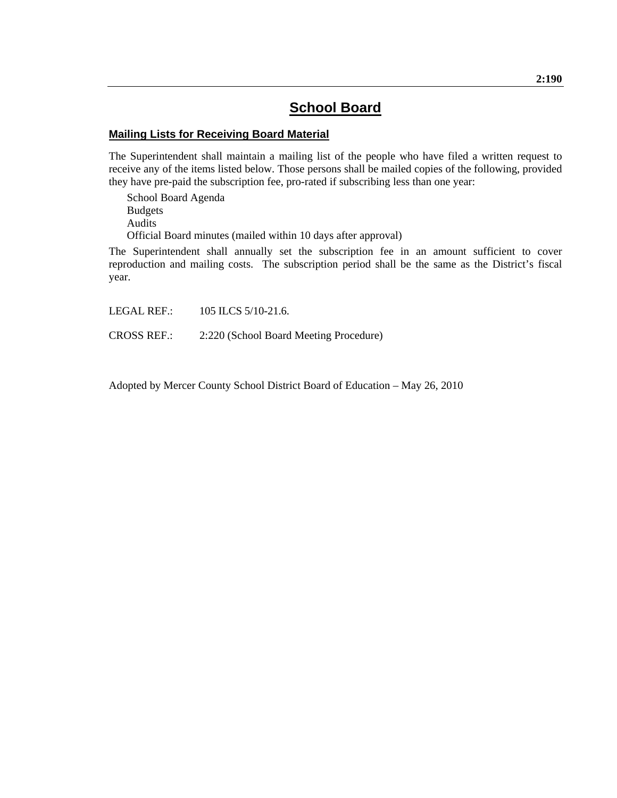## **Mailing Lists for Receiving Board Material**

The Superintendent shall maintain a mailing list of the people who have filed a written request to receive any of the items listed below. Those persons shall be mailed copies of the following, provided they have pre-paid the subscription fee, pro-rated if subscribing less than one year:

School Board Agenda Budgets Audits Official Board minutes (mailed within 10 days after approval)

The Superintendent shall annually set the subscription fee in an amount sufficient to cover reproduction and mailing costs. The subscription period shall be the same as the District's fiscal year.

LEGAL REF.: 105 ILCS 5/10-21.6. CROSS REF.: 2:220 (School Board Meeting Procedure)

Adopted by Mercer County School District Board of Education – May 26, 2010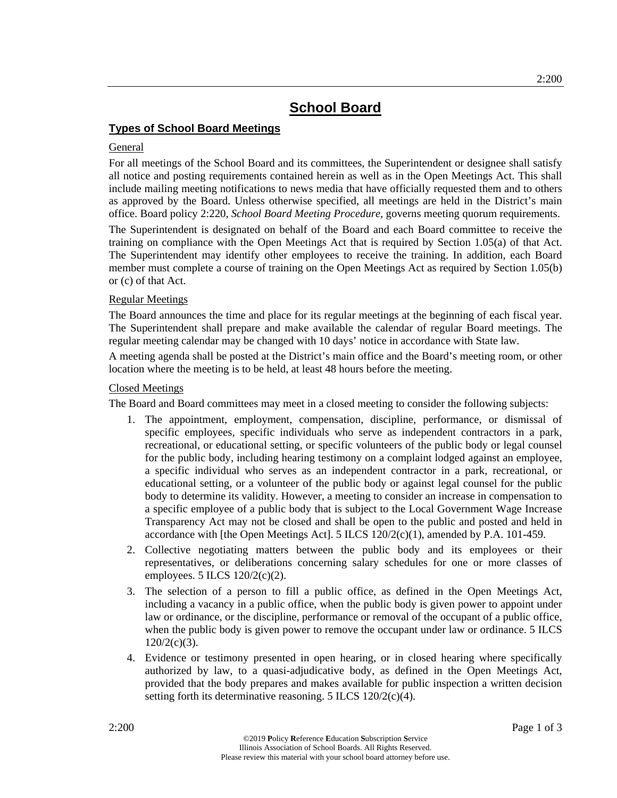## **Types of School Board Meetings**

### General

For all meetings of the School Board and its committees, the Superintendent or designee shall satisfy all notice and posting requirements contained herein as well as in the Open Meetings Act. This shall include mailing meeting notifications to news media that have officially requested them and to others as approved by the Board. Unless otherwise specified, all meetings are held in the District's main office. Board policy 2:220, *School Board Meeting Procedure*, governs meeting quorum requirements.

The Superintendent is designated on behalf of the Board and each Board committee to receive the training on compliance with the Open Meetings Act that is required by Section 1.05(a) of that Act. The Superintendent may identify other employees to receive the training. In addition, each Board member must complete a course of training on the Open Meetings Act as required by Section 1.05(b) or (c) of that Act.

### Regular Meetings

The Board announces the time and place for its regular meetings at the beginning of each fiscal year. The Superintendent shall prepare and make available the calendar of regular Board meetings. The regular meeting calendar may be changed with 10 days' notice in accordance with State law.

A meeting agenda shall be posted at the District's main office and the Board's meeting room, or other location where the meeting is to be held, at least 48 hours before the meeting.

### Closed Meetings

The Board and Board committees may meet in a closed meeting to consider the following subjects:

- 1. The appointment, employment, compensation, discipline, performance, or dismissal of specific employees, specific individuals who serve as independent contractors in a park, recreational, or educational setting, or specific volunteers of the public body or legal counsel for the public body, including hearing testimony on a complaint lodged against an employee, a specific individual who serves as an independent contractor in a park, recreational, or educational setting, or a volunteer of the public body or against legal counsel for the public body to determine its validity. However, a meeting to consider an increase in compensation to a specific employee of a public body that is subject to the Local Government Wage Increase Transparency Act may not be closed and shall be open to the public and posted and held in accordance with [the Open Meetings Act]. 5 ILCS  $120/2(c)(1)$ , amended by P.A. 101-459.
- 2. Collective negotiating matters between the public body and its employees or their representatives, or deliberations concerning salary schedules for one or more classes of employees. 5 ILCS 120/2(c)(2).
- 3. The selection of a person to fill a public office, as defined in the Open Meetings Act, including a vacancy in a public office, when the public body is given power to appoint under law or ordinance, or the discipline, performance or removal of the occupant of a public office, when the public body is given power to remove the occupant under law or ordinance. 5 ILCS  $120/2(c)(3)$ .
- 4. Evidence or testimony presented in open hearing, or in closed hearing where specifically authorized by law, to a quasi-adjudicative body, as defined in the Open Meetings Act, provided that the body prepares and makes available for public inspection a written decision setting forth its determinative reasoning. 5 ILCS 120/2(c)(4).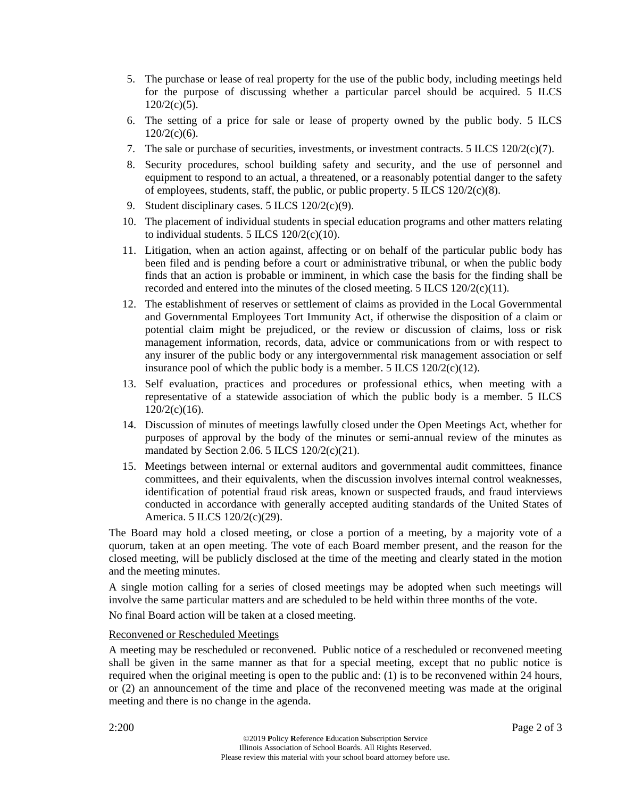- 5. The purchase or lease of real property for the use of the public body, including meetings held for the purpose of discussing whether a particular parcel should be acquired. 5 ILCS  $120/2(c)(5)$ .
- 6. The setting of a price for sale or lease of property owned by the public body. 5 ILCS  $120/2(c)(6)$ .
- 7. The sale or purchase of securities, investments, or investment contracts. 5 ILCS  $120/2(c)(7)$ .
- 8. Security procedures, school building safety and security, and the use of personnel and equipment to respond to an actual, a threatened, or a reasonably potential danger to the safety of employees, students, staff, the public, or public property. 5 ILCS  $120/2(c)(8)$ .
- 9. Student disciplinary cases. 5 ILCS 120/2(c)(9).
- 10. The placement of individual students in special education programs and other matters relating to individual students.  $5$  ILCS  $120/2(c)(10)$ .
- 11. Litigation, when an action against, affecting or on behalf of the particular public body has been filed and is pending before a court or administrative tribunal, or when the public body finds that an action is probable or imminent, in which case the basis for the finding shall be recorded and entered into the minutes of the closed meeting. 5 ILCS  $120/2(c)(11)$ .
- 12. The establishment of reserves or settlement of claims as provided in the Local Governmental and Governmental Employees Tort Immunity Act, if otherwise the disposition of a claim or potential claim might be prejudiced, or the review or discussion of claims, loss or risk management information, records, data, advice or communications from or with respect to any insurer of the public body or any intergovernmental risk management association or self insurance pool of which the public body is a member. 5 ILCS  $120/2(c)(12)$ .
- 13. Self evaluation, practices and procedures or professional ethics, when meeting with a representative of a statewide association of which the public body is a member. 5 ILCS  $120/2(c)(16)$ .
- 14. Discussion of minutes of meetings lawfully closed under the Open Meetings Act, whether for purposes of approval by the body of the minutes or semi-annual review of the minutes as mandated by Section 2.06. 5 ILCS 120/2(c)(21).
- 15. Meetings between internal or external auditors and governmental audit committees, finance committees, and their equivalents, when the discussion involves internal control weaknesses, identification of potential fraud risk areas, known or suspected frauds, and fraud interviews conducted in accordance with generally accepted auditing standards of the United States of America. 5 ILCS 120/2(c)(29).

The Board may hold a closed meeting, or close a portion of a meeting, by a majority vote of a quorum, taken at an open meeting. The vote of each Board member present, and the reason for the closed meeting, will be publicly disclosed at the time of the meeting and clearly stated in the motion and the meeting minutes.

A single motion calling for a series of closed meetings may be adopted when such meetings will involve the same particular matters and are scheduled to be held within three months of the vote.

No final Board action will be taken at a closed meeting.

## Reconvened or Rescheduled Meetings

A meeting may be rescheduled or reconvened. Public notice of a rescheduled or reconvened meeting shall be given in the same manner as that for a special meeting, except that no public notice is required when the original meeting is open to the public and: (1) is to be reconvened within 24 hours, or (2) an announcement of the time and place of the reconvened meeting was made at the original meeting and there is no change in the agenda.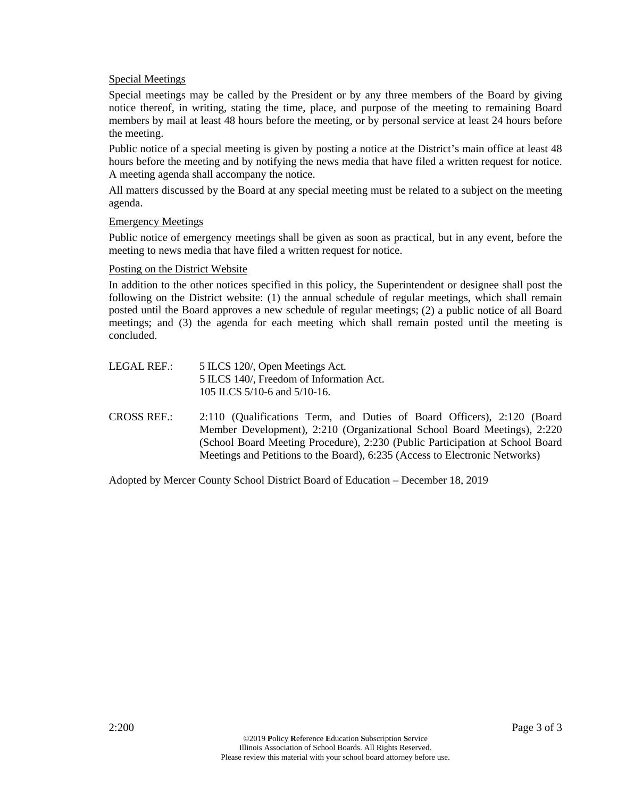### Special Meetings

Special meetings may be called by the President or by any three members of the Board by giving notice thereof, in writing, stating the time, place, and purpose of the meeting to remaining Board members by mail at least 48 hours before the meeting, or by personal service at least 24 hours before the meeting.

Public notice of a special meeting is given by posting a notice at the District's main office at least 48 hours before the meeting and by notifying the news media that have filed a written request for notice. A meeting agenda shall accompany the notice.

All matters discussed by the Board at any special meeting must be related to a subject on the meeting agenda.

#### Emergency Meetings

Public notice of emergency meetings shall be given as soon as practical, but in any event, before the meeting to news media that have filed a written request for notice.

#### Posting on the District Website

In addition to the other notices specified in this policy, the Superintendent or designee shall post the following on the District website: (1) the annual schedule of regular meetings, which shall remain posted until the Board approves a new schedule of regular meetings; (2) a public notice of all Board meetings; and (3) the agenda for each meeting which shall remain posted until the meeting is concluded.

- LEGAL REF.: 5 ILCS 120/, Open Meetings Act. 5 ILCS 140/, Freedom of Information Act. 105 ILCS 5/10-6 and 5/10-16.
- CROSS REF.: 2:110 (Qualifications Term, and Duties of Board Officers), 2:120 (Board Member Development), 2:210 (Organizational School Board Meetings), 2:220 (School Board Meeting Procedure), 2:230 (Public Participation at School Board Meetings and Petitions to the Board), 6:235 (Access to Electronic Networks)

Adopted by Mercer County School District Board of Education – December 18, 2019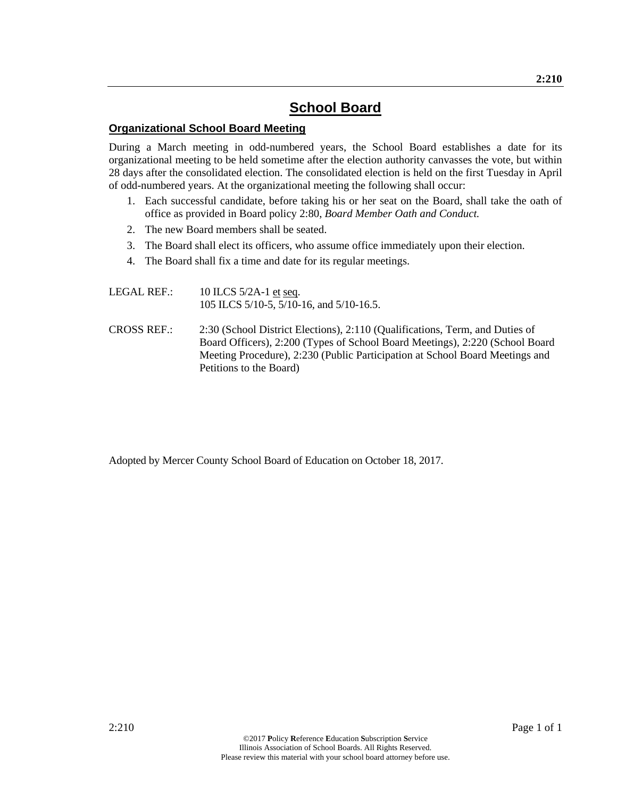## **Organizational School Board Meeting**

During a March meeting in odd-numbered years, the School Board establishes a date for its organizational meeting to be held sometime after the election authority canvasses the vote, but within 28 days after the consolidated election. The consolidated election is held on the first Tuesday in April of odd-numbered years. At the organizational meeting the following shall occur:

- 1. Each successful candidate, before taking his or her seat on the Board, shall take the oath of office as provided in Board policy 2:80, *Board Member Oath and Conduct.*
- 2. The new Board members shall be seated.
- 3. The Board shall elect its officers, who assume office immediately upon their election.
- 4. The Board shall fix a time and date for its regular meetings.

| LEGAL REF.:        | 10 ILCS $5/2A-1$ et seq.<br>105 ILCS 5/10-5, 5/10-16, and 5/10-16.5.                                                                                                                                                                                                    |
|--------------------|-------------------------------------------------------------------------------------------------------------------------------------------------------------------------------------------------------------------------------------------------------------------------|
| <b>CROSS REF.:</b> | 2:30 (School District Elections), 2:110 (Qualifications, Term, and Duties of<br>Board Officers), 2:200 (Types of School Board Meetings), 2:220 (School Board<br>Meeting Procedure), 2:230 (Public Participation at School Board Meetings and<br>Petitions to the Board) |

Adopted by Mercer County School Board of Education on October 18, 2017.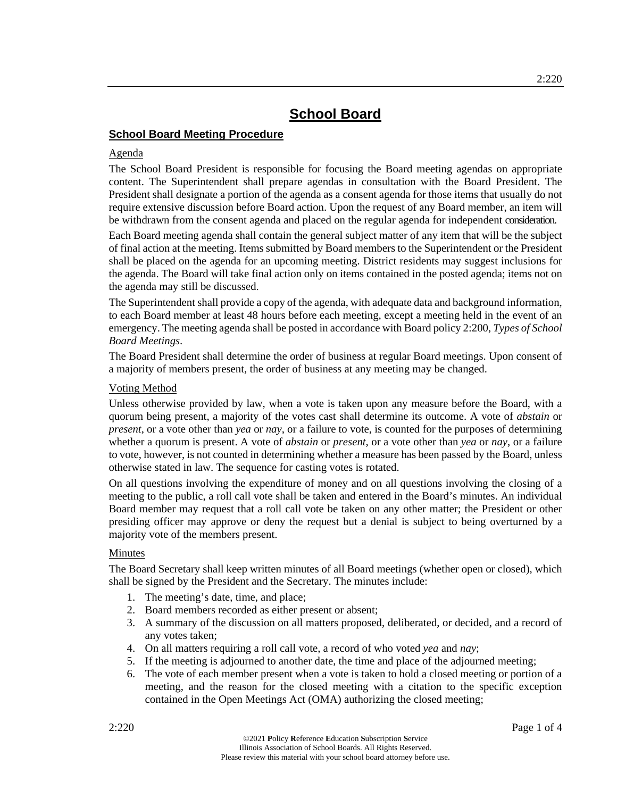## **School Board Meeting Procedure**

### Agenda

The School Board President is responsible for focusing the Board meeting agendas on appropriate content. The Superintendent shall prepare agendas in consultation with the Board President. The President shall designate a portion of the agenda as a consent agenda for those items that usually do not require extensive discussion before Board action. Upon the request of any Board member, an item will be withdrawn from the consent agenda and placed on the regular agenda for independent consideration.

Each Board meeting agenda shall contain the general subject matter of any item that will be the subject of final action at the meeting. Items submitted by Board members to the Superintendent or the President shall be placed on the agenda for an upcoming meeting. District residents may suggest inclusions for the agenda. The Board will take final action only on items contained in the posted agenda; items not on the agenda may still be discussed.

The Superintendent shall provide a copy of the agenda, with adequate data and background information, to each Board member at least 48 hours before each meeting, except a meeting held in the event of an emergency. The meeting agenda shall be posted in accordance with Board policy 2:200, *Types of School Board Meetings*.

The Board President shall determine the order of business at regular Board meetings. Upon consent of a majority of members present, the order of business at any meeting may be changed.

## Voting Method

Unless otherwise provided by law, when a vote is taken upon any measure before the Board, with a quorum being present, a majority of the votes cast shall determine its outcome. A vote of *abstain* or *present*, or a vote other than *yea* or *nay*, or a failure to vote, is counted for the purposes of determining whether a quorum is present. A vote of *abstain* or *present*, or a vote other than *yea* or *nay*, or a failure to vote, however, is not counted in determining whether a measure has been passed by the Board, unless otherwise stated in law. The sequence for casting votes is rotated.

On all questions involving the expenditure of money and on all questions involving the closing of a meeting to the public, a roll call vote shall be taken and entered in the Board's minutes. An individual Board member may request that a roll call vote be taken on any other matter; the President or other presiding officer may approve or deny the request but a denial is subject to being overturned by a majority vote of the members present.

## Minutes

The Board Secretary shall keep written minutes of all Board meetings (whether open or closed), which shall be signed by the President and the Secretary. The minutes include:

- 1. The meeting's date, time, and place;
- 2. Board members recorded as either present or absent;
- 3. A summary of the discussion on all matters proposed, deliberated, or decided, and a record of any votes taken;
- 4. On all matters requiring a roll call vote, a record of who voted *yea* and *nay*;
- 5. If the meeting is adjourned to another date, the time and place of the adjourned meeting;
- 6. The vote of each member present when a vote is taken to hold a closed meeting or portion of a meeting, and the reason for the closed meeting with a citation to the specific exception contained in the Open Meetings Act (OMA) authorizing the closed meeting;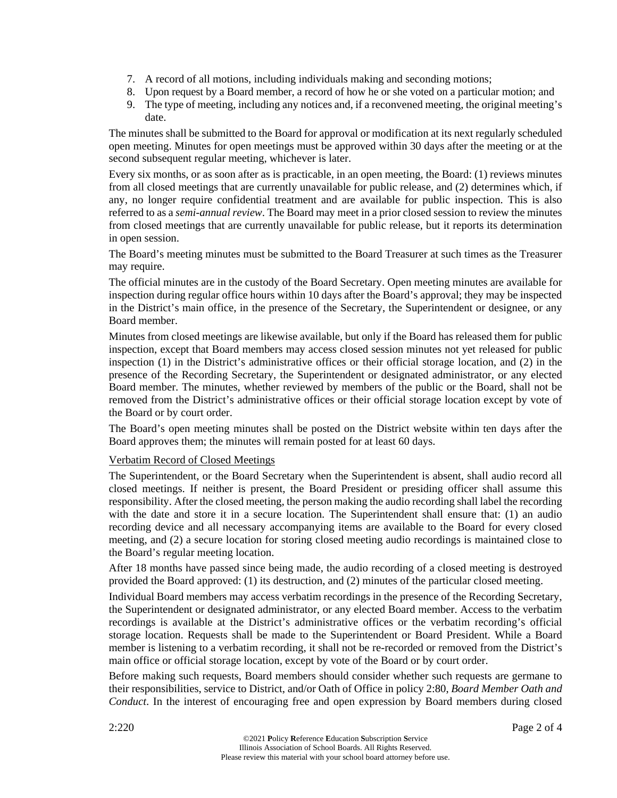- 7. A record of all motions, including individuals making and seconding motions;
- 8. Upon request by a Board member, a record of how he or she voted on a particular motion; and
- 9. The type of meeting, including any notices and, if a reconvened meeting, the original meeting's date.

The minutes shall be submitted to the Board for approval or modification at its next regularly scheduled open meeting. Minutes for open meetings must be approved within 30 days after the meeting or at the second subsequent regular meeting, whichever is later.

Every six months, or as soon after as is practicable, in an open meeting, the Board: (1) reviews minutes from all closed meetings that are currently unavailable for public release, and (2) determines which, if any, no longer require confidential treatment and are available for public inspection. This is also referred to as a *semi-annual review*. The Board may meet in a prior closed session to review the minutes from closed meetings that are currently unavailable for public release, but it reports its determination in open session.

The Board's meeting minutes must be submitted to the Board Treasurer at such times as the Treasurer may require.

The official minutes are in the custody of the Board Secretary. Open meeting minutes are available for inspection during regular office hours within 10 days after the Board's approval; they may be inspected in the District's main office, in the presence of the Secretary, the Superintendent or designee, or any Board member.

Minutes from closed meetings are likewise available, but only if the Board has released them for public inspection, except that Board members may access closed session minutes not yet released for public inspection (1) in the District's administrative offices or their official storage location, and (2) in the presence of the Recording Secretary, the Superintendent or designated administrator, or any elected Board member. The minutes, whether reviewed by members of the public or the Board, shall not be removed from the District's administrative offices or their official storage location except by vote of the Board or by court order.

The Board's open meeting minutes shall be posted on the District website within ten days after the Board approves them; the minutes will remain posted for at least 60 days.

## Verbatim Record of Closed Meetings

The Superintendent, or the Board Secretary when the Superintendent is absent, shall audio record all closed meetings. If neither is present, the Board President or presiding officer shall assume this responsibility. After the closed meeting, the person making the audio recording shall label the recording with the date and store it in a secure location. The Superintendent shall ensure that: (1) an audio recording device and all necessary accompanying items are available to the Board for every closed meeting, and (2) a secure location for storing closed meeting audio recordings is maintained close to the Board's regular meeting location.

After 18 months have passed since being made, the audio recording of a closed meeting is destroyed provided the Board approved: (1) its destruction, and (2) minutes of the particular closed meeting.

Individual Board members may access verbatim recordings in the presence of the Recording Secretary, the Superintendent or designated administrator, or any elected Board member. Access to the verbatim recordings is available at the District's administrative offices or the verbatim recording's official storage location. Requests shall be made to the Superintendent or Board President. While a Board member is listening to a verbatim recording, it shall not be re-recorded or removed from the District's main office or official storage location, except by vote of the Board or by court order.

Before making such requests, Board members should consider whether such requests are germane to their responsibilities, service to District, and/or Oath of Office in policy 2:80, *Board Member Oath and Conduct*. In the interest of encouraging free and open expression by Board members during closed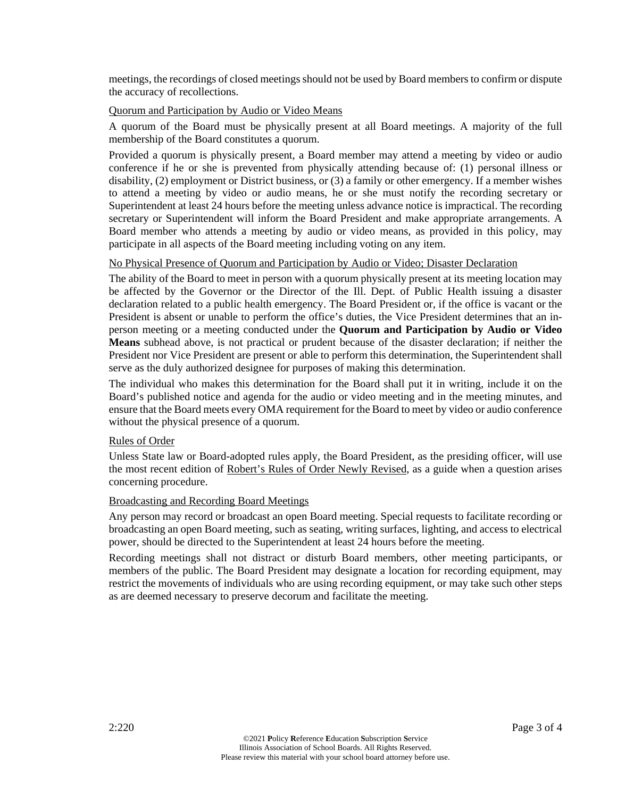meetings, the recordings of closed meetings should not be used by Board members to confirm or dispute the accuracy of recollections.

### Quorum and Participation by Audio or Video Means

A quorum of the Board must be physically present at all Board meetings. A majority of the full membership of the Board constitutes a quorum.

Provided a quorum is physically present, a Board member may attend a meeting by video or audio conference if he or she is prevented from physically attending because of: (1) personal illness or disability, (2) employment or District business, or (3) a family or other emergency. If a member wishes to attend a meeting by video or audio means, he or she must notify the recording secretary or Superintendent at least 24 hours before the meeting unless advance notice is impractical. The recording secretary or Superintendent will inform the Board President and make appropriate arrangements. A Board member who attends a meeting by audio or video means, as provided in this policy, may participate in all aspects of the Board meeting including voting on any item.

### No Physical Presence of Quorum and Participation by Audio or Video; Disaster Declaration

The ability of the Board to meet in person with a quorum physically present at its meeting location may be affected by the Governor or the Director of the Ill. Dept. of Public Health issuing a disaster declaration related to a public health emergency. The Board President or, if the office is vacant or the President is absent or unable to perform the office's duties, the Vice President determines that an inperson meeting or a meeting conducted under the **Quorum and Participation by Audio or Video Means** subhead above, is not practical or prudent because of the disaster declaration; if neither the President nor Vice President are present or able to perform this determination, the Superintendent shall serve as the duly authorized designee for purposes of making this determination.

The individual who makes this determination for the Board shall put it in writing, include it on the Board's published notice and agenda for the audio or video meeting and in the meeting minutes, and ensure that the Board meets every OMA requirement for the Board to meet by video or audio conference without the physical presence of a quorum.

#### Rules of Order

Unless State law or Board-adopted rules apply, the Board President, as the presiding officer, will use the most recent edition of Robert's Rules of Order Newly Revised, as a guide when a question arises concerning procedure.

#### Broadcasting and Recording Board Meetings

Any person may record or broadcast an open Board meeting. Special requests to facilitate recording or broadcasting an open Board meeting, such as seating, writing surfaces, lighting, and access to electrical power, should be directed to the Superintendent at least 24 hours before the meeting.

Recording meetings shall not distract or disturb Board members, other meeting participants, or members of the public. The Board President may designate a location for recording equipment, may restrict the movements of individuals who are using recording equipment, or may take such other steps as are deemed necessary to preserve decorum and facilitate the meeting.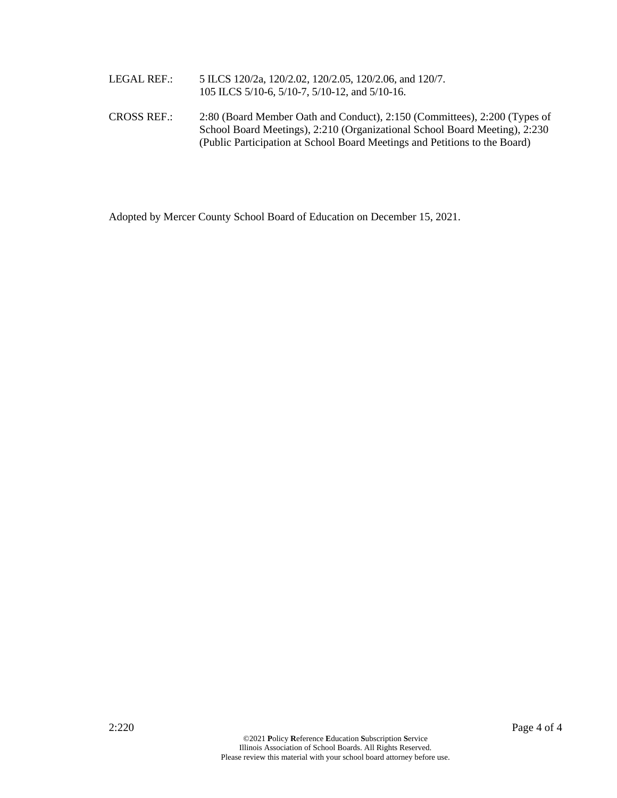| LEGAL REF.: | 5 ILCS 120/2a, 120/2.02, 120/2.05, 120/2.06, and 120/7. |
|-------------|---------------------------------------------------------|
|             | 105 ILCS 5/10-6, 5/10-7, 5/10-12, and 5/10-16.          |

CROSS REF.: 2:80 (Board Member Oath and Conduct), 2:150 (Committees), 2:200 (Types of School Board Meetings), 2:210 (Organizational School Board Meeting), 2:230 (Public Participation at School Board Meetings and Petitions to the Board)

Adopted by Mercer County School Board of Education on December 15, 2021.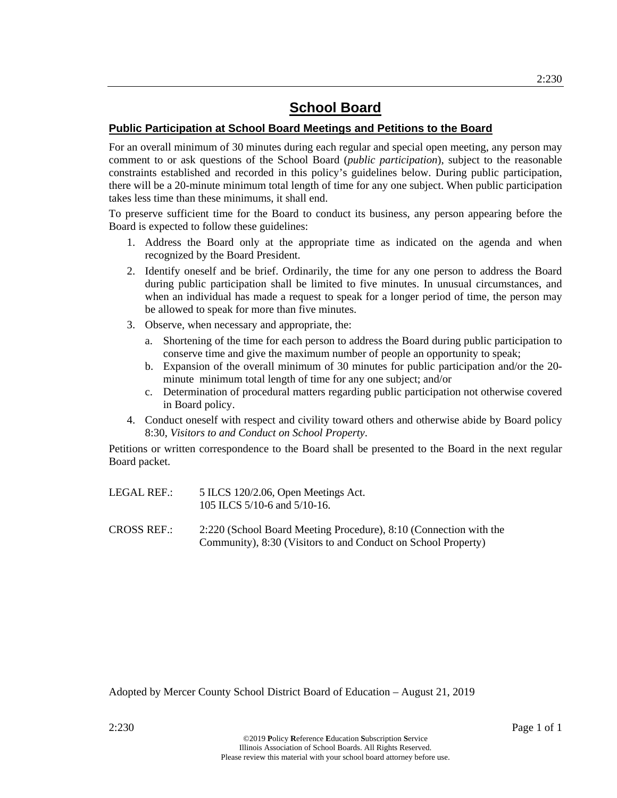## **Public Participation at School Board Meetings and Petitions to the Board**

For an overall minimum of 30 minutes during each regular and special open meeting, any person may comment to or ask questions of the School Board (*public participation*), subject to the reasonable constraints established and recorded in this policy's guidelines below. During public participation, there will be a 20-minute minimum total length of time for any one subject. When public participation takes less time than these minimums, it shall end.

To preserve sufficient time for the Board to conduct its business, any person appearing before the Board is expected to follow these guidelines:

- 1. Address the Board only at the appropriate time as indicated on the agenda and when recognized by the Board President.
- 2. Identify oneself and be brief. Ordinarily, the time for any one person to address the Board during public participation shall be limited to five minutes. In unusual circumstances, and when an individual has made a request to speak for a longer period of time, the person may be allowed to speak for more than five minutes.
- 3. Observe, when necessary and appropriate, the:
	- a. Shortening of the time for each person to address the Board during public participation to conserve time and give the maximum number of people an opportunity to speak;
	- b. Expansion of the overall minimum of 30 minutes for public participation and/or the 20 minute minimum total length of time for any one subject; and/or
	- c. Determination of procedural matters regarding public participation not otherwise covered in Board policy.
- 4. Conduct oneself with respect and civility toward others and otherwise abide by Board policy 8:30, *Visitors to and Conduct on School Property*.

Petitions or written correspondence to the Board shall be presented to the Board in the next regular Board packet.

| LEGAL REF.: | 5 ILCS 120/2.06, Open Meetings Act. |
|-------------|-------------------------------------|
|             | 105 ILCS 5/10-6 and 5/10-16.        |

CROSS REF.: 2:220 (School Board Meeting Procedure), 8:10 (Connection with the Community), 8:30 (Visitors to and Conduct on School Property)

Adopted by Mercer County School District Board of Education – August 21, 2019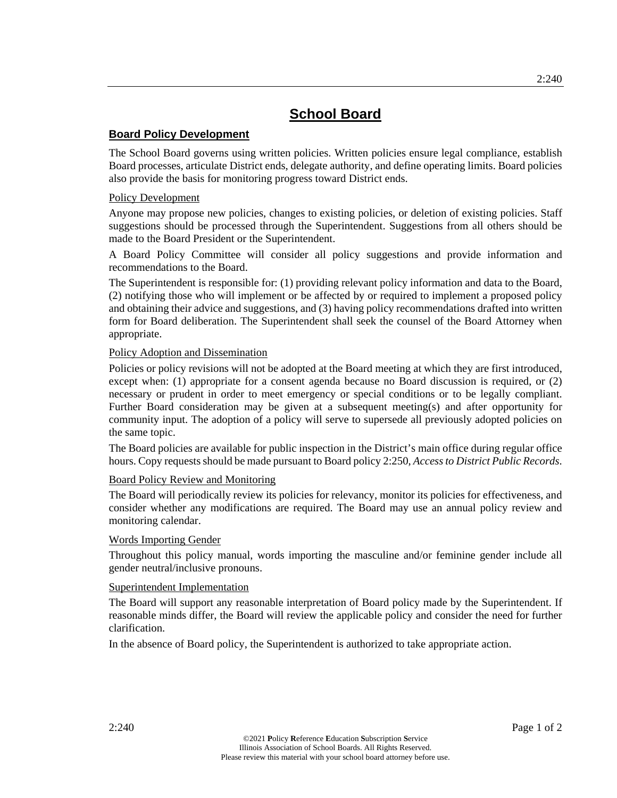## **Board Policy Development**

The School Board governs using written policies. Written policies ensure legal compliance, establish Board processes, articulate District ends, delegate authority, and define operating limits. Board policies also provide the basis for monitoring progress toward District ends.

## Policy Development

Anyone may propose new policies, changes to existing policies, or deletion of existing policies. Staff suggestions should be processed through the Superintendent. Suggestions from all others should be made to the Board President or the Superintendent.

A Board Policy Committee will consider all policy suggestions and provide information and recommendations to the Board.

The Superintendent is responsible for: (1) providing relevant policy information and data to the Board, (2) notifying those who will implement or be affected by or required to implement a proposed policy and obtaining their advice and suggestions, and (3) having policy recommendations drafted into written form for Board deliberation. The Superintendent shall seek the counsel of the Board Attorney when appropriate.

## Policy Adoption and Dissemination

Policies or policy revisions will not be adopted at the Board meeting at which they are first introduced, except when: (1) appropriate for a consent agenda because no Board discussion is required, or (2) necessary or prudent in order to meet emergency or special conditions or to be legally compliant. Further Board consideration may be given at a subsequent meeting(s) and after opportunity for community input. The adoption of a policy will serve to supersede all previously adopted policies on the same topic.

The Board policies are available for public inspection in the District's main office during regular office hours. Copy requests should be made pursuant to Board policy 2:250, *Access to District Public Records*.

## Board Policy Review and Monitoring

The Board will periodically review its policies for relevancy, monitor its policies for effectiveness, and consider whether any modifications are required. The Board may use an annual policy review and monitoring calendar.

## Words Importing Gender

Throughout this policy manual, words importing the masculine and/or feminine gender include all gender neutral/inclusive pronouns.

## Superintendent Implementation

The Board will support any reasonable interpretation of Board policy made by the Superintendent. If reasonable minds differ, the Board will review the applicable policy and consider the need for further clarification.

In the absence of Board policy, the Superintendent is authorized to take appropriate action.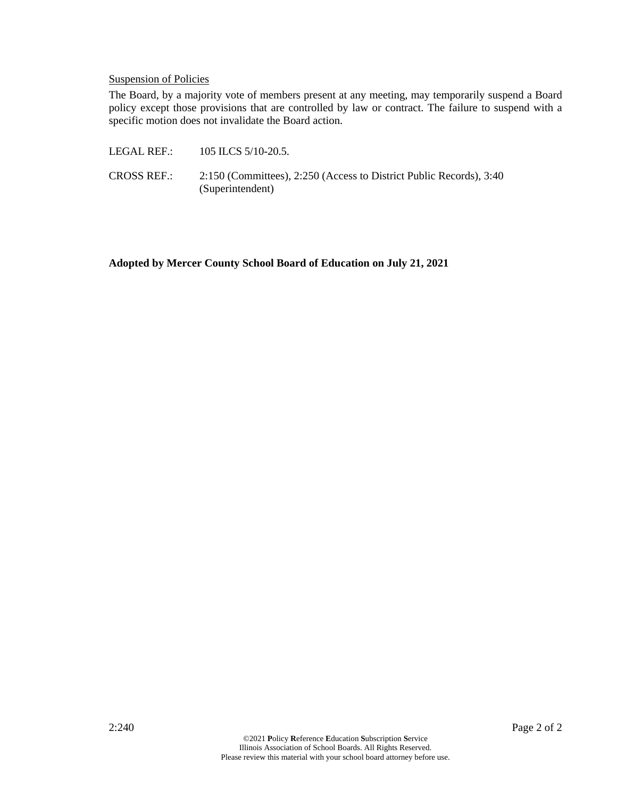## Suspension of Policies

The Board, by a majority vote of members present at any meeting, may temporarily suspend a Board policy except those provisions that are controlled by law or contract. The failure to suspend with a specific motion does not invalidate the Board action.

| LEGAL REF.:        | 105 ILCS 5/10-20.5.                                                                     |
|--------------------|-----------------------------------------------------------------------------------------|
| <b>CROSS REF.:</b> | 2:150 (Committees), 2:250 (Access to District Public Records), 3:40<br>(Superintendent) |

**Adopted by Mercer County School Board of Education on July 21, 2021**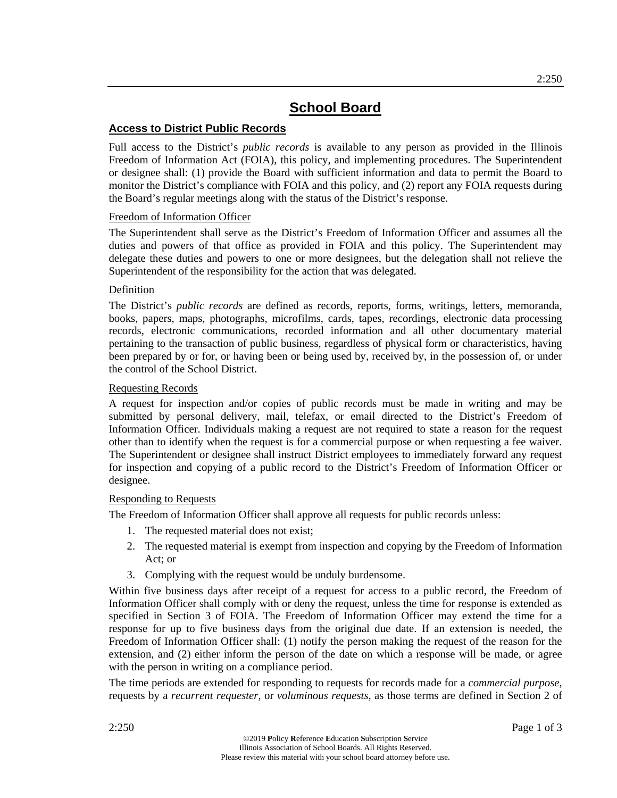## **Access to District Public Records**

Full access to the District's *public records* is available to any person as provided in the Illinois Freedom of Information Act (FOIA), this policy, and implementing procedures. The Superintendent or designee shall: (1) provide the Board with sufficient information and data to permit the Board to monitor the District's compliance with FOIA and this policy, and (2) report any FOIA requests during the Board's regular meetings along with the status of the District's response.

## Freedom of Information Officer

The Superintendent shall serve as the District's Freedom of Information Officer and assumes all the duties and powers of that office as provided in FOIA and this policy. The Superintendent may delegate these duties and powers to one or more designees, but the delegation shall not relieve the Superintendent of the responsibility for the action that was delegated.

## Definition

The District's *public records* are defined as records, reports, forms, writings, letters, memoranda, books, papers, maps, photographs, microfilms, cards, tapes, recordings, electronic data processing records, electronic communications, recorded information and all other documentary material pertaining to the transaction of public business, regardless of physical form or characteristics, having been prepared by or for, or having been or being used by, received by, in the possession of, or under the control of the School District.

## Requesting Records

A request for inspection and/or copies of public records must be made in writing and may be submitted by personal delivery, mail, telefax, or email directed to the District's Freedom of Information Officer. Individuals making a request are not required to state a reason for the request other than to identify when the request is for a commercial purpose or when requesting a fee waiver. The Superintendent or designee shall instruct District employees to immediately forward any request for inspection and copying of a public record to the District's Freedom of Information Officer or designee.

## Responding to Requests

The Freedom of Information Officer shall approve all requests for public records unless:

- 1. The requested material does not exist;
- 2. The requested material is exempt from inspection and copying by the Freedom of Information Act; or
- 3. Complying with the request would be unduly burdensome.

Within five business days after receipt of a request for access to a public record, the Freedom of Information Officer shall comply with or deny the request, unless the time for response is extended as specified in Section 3 of FOIA. The Freedom of Information Officer may extend the time for a response for up to five business days from the original due date. If an extension is needed, the Freedom of Information Officer shall: (1) notify the person making the request of the reason for the extension, and (2) either inform the person of the date on which a response will be made, or agree with the person in writing on a compliance period.

The time periods are extended for responding to requests for records made for a *commercial purpose*, requests by a *recurrent requester*, or *voluminous requests*, as those terms are defined in Section 2 of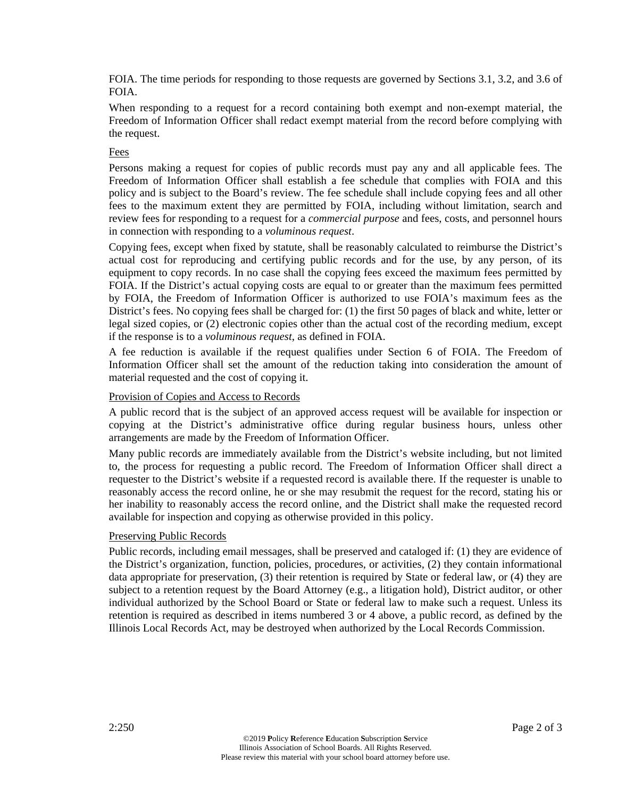FOIA. The time periods for responding to those requests are governed by Sections 3.1, 3.2, and 3.6 of FOIA.

When responding to a request for a record containing both exempt and non-exempt material, the Freedom of Information Officer shall redact exempt material from the record before complying with the request.

### Fees

Persons making a request for copies of public records must pay any and all applicable fees. The Freedom of Information Officer shall establish a fee schedule that complies with FOIA and this policy and is subject to the Board's review. The fee schedule shall include copying fees and all other fees to the maximum extent they are permitted by FOIA, including without limitation, search and review fees for responding to a request for a *commercial purpose* and fees, costs, and personnel hours in connection with responding to a *voluminous request*.

Copying fees, except when fixed by statute, shall be reasonably calculated to reimburse the District's actual cost for reproducing and certifying public records and for the use, by any person, of its equipment to copy records. In no case shall the copying fees exceed the maximum fees permitted by FOIA. If the District's actual copying costs are equal to or greater than the maximum fees permitted by FOIA, the Freedom of Information Officer is authorized to use FOIA's maximum fees as the District's fees. No copying fees shall be charged for: (1) the first 50 pages of black and white, letter or legal sized copies, or (2) electronic copies other than the actual cost of the recording medium, except if the response is to a *voluminous request*, as defined in FOIA.

A fee reduction is available if the request qualifies under Section 6 of FOIA. The Freedom of Information Officer shall set the amount of the reduction taking into consideration the amount of material requested and the cost of copying it.

### Provision of Copies and Access to Records

A public record that is the subject of an approved access request will be available for inspection or copying at the District's administrative office during regular business hours, unless other arrangements are made by the Freedom of Information Officer.

Many public records are immediately available from the District's website including, but not limited to, the process for requesting a public record. The Freedom of Information Officer shall direct a requester to the District's website if a requested record is available there. If the requester is unable to reasonably access the record online, he or she may resubmit the request for the record, stating his or her inability to reasonably access the record online, and the District shall make the requested record available for inspection and copying as otherwise provided in this policy.

#### Preserving Public Records

Public records, including email messages, shall be preserved and cataloged if: (1) they are evidence of the District's organization, function, policies, procedures, or activities, (2) they contain informational data appropriate for preservation, (3) their retention is required by State or federal law, or (4) they are subject to a retention request by the Board Attorney (e.g., a litigation hold), District auditor, or other individual authorized by the School Board or State or federal law to make such a request. Unless its retention is required as described in items numbered 3 or 4 above, a public record, as defined by the Illinois Local Records Act, may be destroyed when authorized by the Local Records Commission.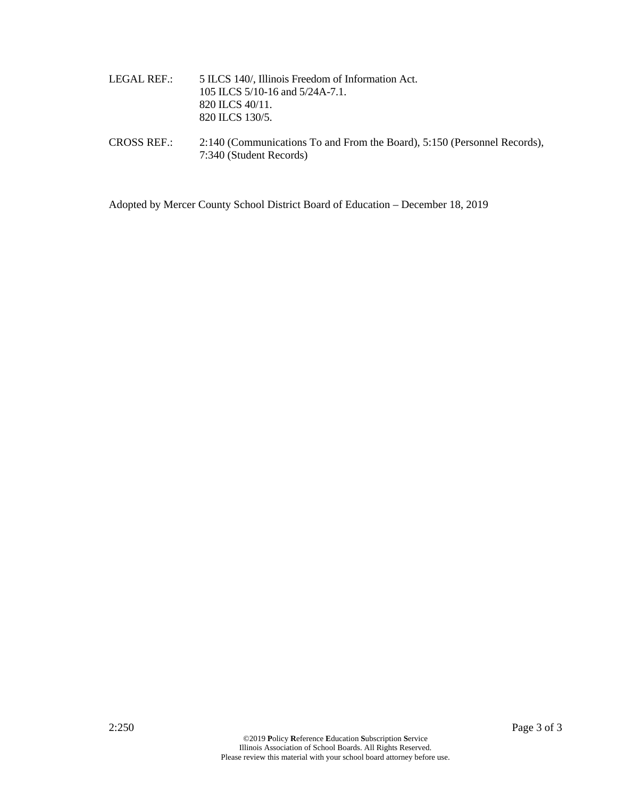- LEGAL REF.: 5 ILCS 140/, Illinois Freedom of Information Act. 105 ILCS 5/10-16 and 5/24A-7.1. 820 ILCS 40/11. 820 ILCS 130/5.
- CROSS REF.: 2:140 (Communications To and From the Board), 5:150 (Personnel Records), 7:340 (Student Records)

Adopted by Mercer County School District Board of Education – December 18, 2019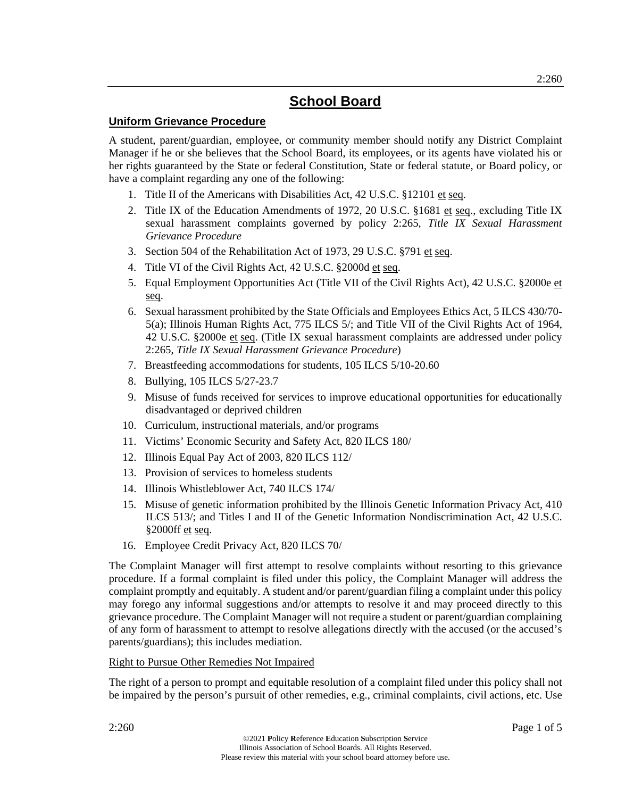## **Uniform Grievance Procedure**

A student, parent/guardian, employee, or community member should notify any District Complaint Manager if he or she believes that the School Board, its employees, or its agents have violated his or her rights guaranteed by the State or federal Constitution, State or federal statute, or Board policy, or have a complaint regarding any one of the following:

- 1. Title II of the Americans with Disabilities Act, 42 U.S.C. §12101 et seq.
- 2. Title IX of the Education Amendments of 1972, 20 U.S.C. §1681 et seq., excluding Title IX sexual harassment complaints governed by policy 2:265, *Title IX Sexual Harassment Grievance Procedure*
- 3. Section 504 of the Rehabilitation Act of 1973, 29 U.S.C. §791 et seq.
- 4. Title VI of the Civil Rights Act, 42 U.S.C. §2000d et seq.
- 5. Equal Employment Opportunities Act (Title VII of the Civil Rights Act), 42 U.S.C. §2000e et seq.
- 6. Sexual harassment prohibited by the State Officials and Employees Ethics Act, 5 ILCS 430/70- 5(a); Illinois Human Rights Act, 775 ILCS 5/; and Title VII of the Civil Rights Act of 1964, 42 U.S.C. §2000e et seq. (Title IX sexual harassment complaints are addressed under policy 2:265, *Title IX Sexual Harassment Grievance Procedure*)
- 7. Breastfeeding accommodations for students, 105 ILCS 5/10-20.60
- 8. Bullying, 105 ILCS 5/27-23.7
- 9. Misuse of funds received for services to improve educational opportunities for educationally disadvantaged or deprived children
- 10. Curriculum, instructional materials, and/or programs
- 11. Victims' Economic Security and Safety Act, 820 ILCS 180/
- 12. Illinois Equal Pay Act of 2003, 820 ILCS 112/
- 13. Provision of services to homeless students
- 14. Illinois Whistleblower Act, 740 ILCS 174/
- 15. Misuse of genetic information prohibited by the Illinois Genetic Information Privacy Act, 410 ILCS 513/; and Titles I and II of the Genetic Information Nondiscrimination Act, 42 U.S.C. §2000ff et seq.
- 16. Employee Credit Privacy Act, 820 ILCS 70/

The Complaint Manager will first attempt to resolve complaints without resorting to this grievance procedure. If a formal complaint is filed under this policy, the Complaint Manager will address the complaint promptly and equitably. A student and/or parent/guardian filing a complaint under this policy may forego any informal suggestions and/or attempts to resolve it and may proceed directly to this grievance procedure. The Complaint Manager will not require a student or parent/guardian complaining of any form of harassment to attempt to resolve allegations directly with the accused (or the accused's parents/guardians); this includes mediation.

## Right to Pursue Other Remedies Not Impaired

The right of a person to prompt and equitable resolution of a complaint filed under this policy shall not be impaired by the person's pursuit of other remedies, e.g., criminal complaints, civil actions, etc. Use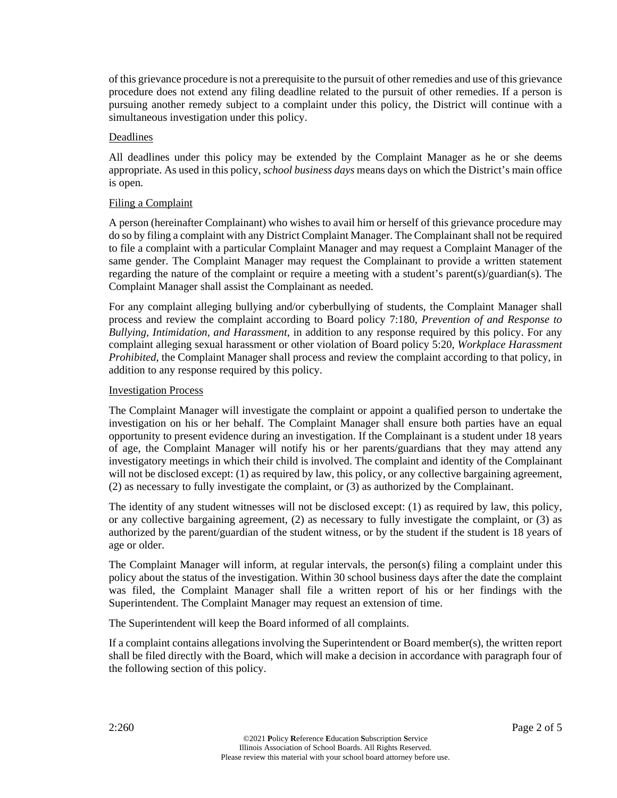of this grievance procedure is not a prerequisite to the pursuit of other remedies and use of this grievance procedure does not extend any filing deadline related to the pursuit of other remedies. If a person is pursuing another remedy subject to a complaint under this policy, the District will continue with a simultaneous investigation under this policy.

### Deadlines

All deadlines under this policy may be extended by the Complaint Manager as he or she deems appropriate. As used in this policy, *school business days* means days on which the District's main office is open.

## Filing a Complaint

A person (hereinafter Complainant) who wishes to avail him or herself of this grievance procedure may do so by filing a complaint with any District Complaint Manager. The Complainant shall not be required to file a complaint with a particular Complaint Manager and may request a Complaint Manager of the same gender. The Complaint Manager may request the Complainant to provide a written statement regarding the nature of the complaint or require a meeting with a student's parent(s)/guardian(s). The Complaint Manager shall assist the Complainant as needed.

For any complaint alleging bullying and/or cyberbullying of students, the Complaint Manager shall process and review the complaint according to Board policy 7:180, *Prevention of and Response to Bullying, Intimidation, and Harassment*, in addition to any response required by this policy. For any complaint alleging sexual harassment or other violation of Board policy 5:20, *Workplace Harassment Prohibited*, the Complaint Manager shall process and review the complaint according to that policy, in addition to any response required by this policy.

### Investigation Process

The Complaint Manager will investigate the complaint or appoint a qualified person to undertake the investigation on his or her behalf. The Complaint Manager shall ensure both parties have an equal opportunity to present evidence during an investigation. If the Complainant is a student under 18 years of age, the Complaint Manager will notify his or her parents/guardians that they may attend any investigatory meetings in which their child is involved. The complaint and identity of the Complainant will not be disclosed except: (1) as required by law, this policy, or any collective bargaining agreement, (2) as necessary to fully investigate the complaint, or (3) as authorized by the Complainant.

The identity of any student witnesses will not be disclosed except: (1) as required by law, this policy, or any collective bargaining agreement, (2) as necessary to fully investigate the complaint, or (3) as authorized by the parent/guardian of the student witness, or by the student if the student is 18 years of age or older.

The Complaint Manager will inform, at regular intervals, the person(s) filing a complaint under this policy about the status of the investigation. Within 30 school business days after the date the complaint was filed, the Complaint Manager shall file a written report of his or her findings with the Superintendent. The Complaint Manager may request an extension of time.

The Superintendent will keep the Board informed of all complaints.

If a complaint contains allegations involving the Superintendent or Board member(s), the written report shall be filed directly with the Board, which will make a decision in accordance with paragraph four of the following section of this policy.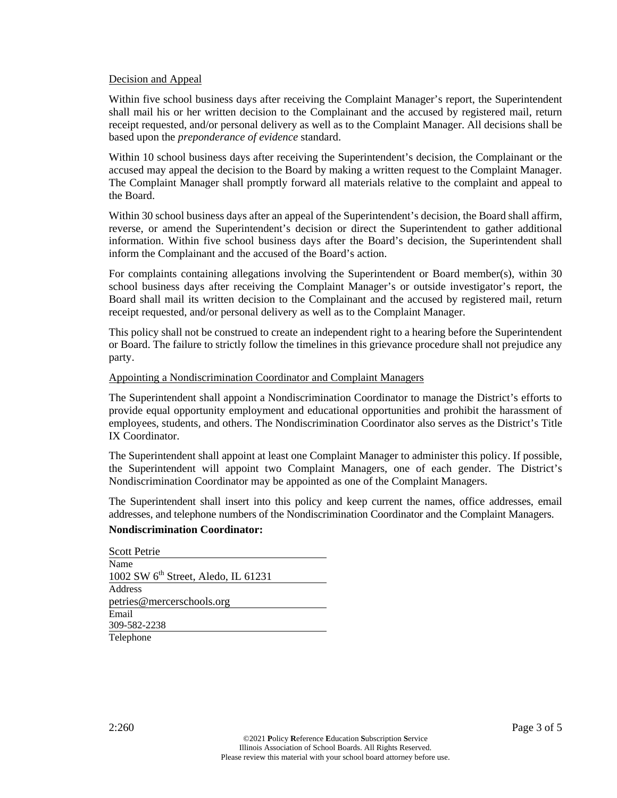### Decision and Appeal

Within five school business days after receiving the Complaint Manager's report, the Superintendent shall mail his or her written decision to the Complainant and the accused by registered mail, return receipt requested, and/or personal delivery as well as to the Complaint Manager. All decisions shall be based upon the *preponderance of evidence* standard.

Within 10 school business days after receiving the Superintendent's decision, the Complainant or the accused may appeal the decision to the Board by making a written request to the Complaint Manager. The Complaint Manager shall promptly forward all materials relative to the complaint and appeal to the Board.

Within 30 school business days after an appeal of the Superintendent's decision, the Board shall affirm, reverse, or amend the Superintendent's decision or direct the Superintendent to gather additional information. Within five school business days after the Board's decision, the Superintendent shall inform the Complainant and the accused of the Board's action.

For complaints containing allegations involving the Superintendent or Board member(s), within 30 school business days after receiving the Complaint Manager's or outside investigator's report, the Board shall mail its written decision to the Complainant and the accused by registered mail, return receipt requested, and/or personal delivery as well as to the Complaint Manager.

This policy shall not be construed to create an independent right to a hearing before the Superintendent or Board. The failure to strictly follow the timelines in this grievance procedure shall not prejudice any party.

### Appointing a Nondiscrimination Coordinator and Complaint Managers

The Superintendent shall appoint a Nondiscrimination Coordinator to manage the District's efforts to provide equal opportunity employment and educational opportunities and prohibit the harassment of employees, students, and others. The Nondiscrimination Coordinator also serves as the District's Title IX Coordinator.

The Superintendent shall appoint at least one Complaint Manager to administer this policy. If possible, the Superintendent will appoint two Complaint Managers, one of each gender. The District's Nondiscrimination Coordinator may be appointed as one of the Complaint Managers.

The Superintendent shall insert into this policy and keep current the names, office addresses, email addresses, and telephone numbers of the Nondiscrimination Coordinator and the Complaint Managers.

#### **Nondiscrimination Coordinator:**

| <b>Scott Petrie</b>                             |  |
|-------------------------------------------------|--|
| Name                                            |  |
| 1002 SW 6 <sup>th</sup> Street, Aledo, IL 61231 |  |
| Address                                         |  |
| petries@mercerschools.org                       |  |
| Email                                           |  |
| 309-582-2238                                    |  |
| Telephone                                       |  |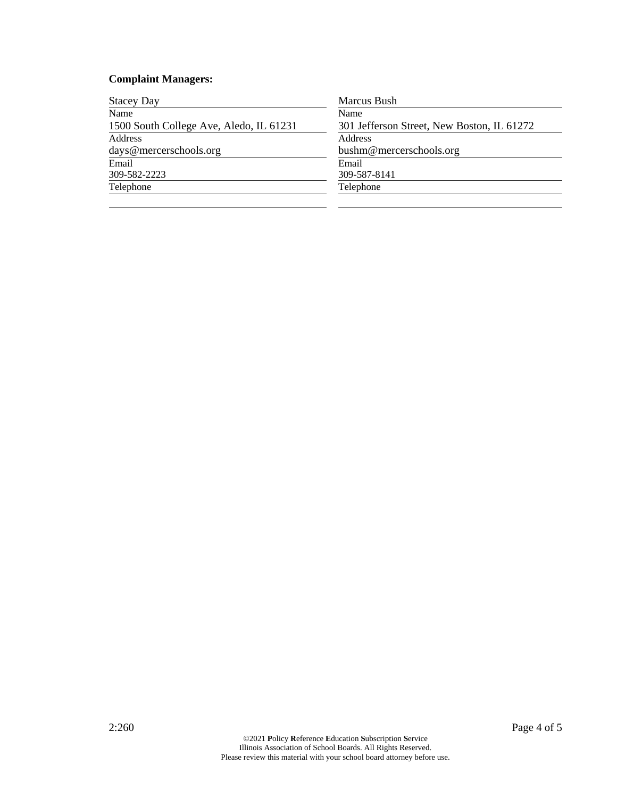## **Complaint Managers:**

| <b>Stacey Day</b>                       | Marcus Bush                                |
|-----------------------------------------|--------------------------------------------|
| Name                                    | Name                                       |
| 1500 South College Ave, Aledo, IL 61231 | 301 Jefferson Street, New Boston, IL 61272 |
| Address                                 | <b>Address</b>                             |
| days@mercerschools.org                  | bushm@mercerschools.org                    |
| Email                                   | Email                                      |
| 309-582-2223                            | 309-587-8141                               |
| Telephone                               | Telephone                                  |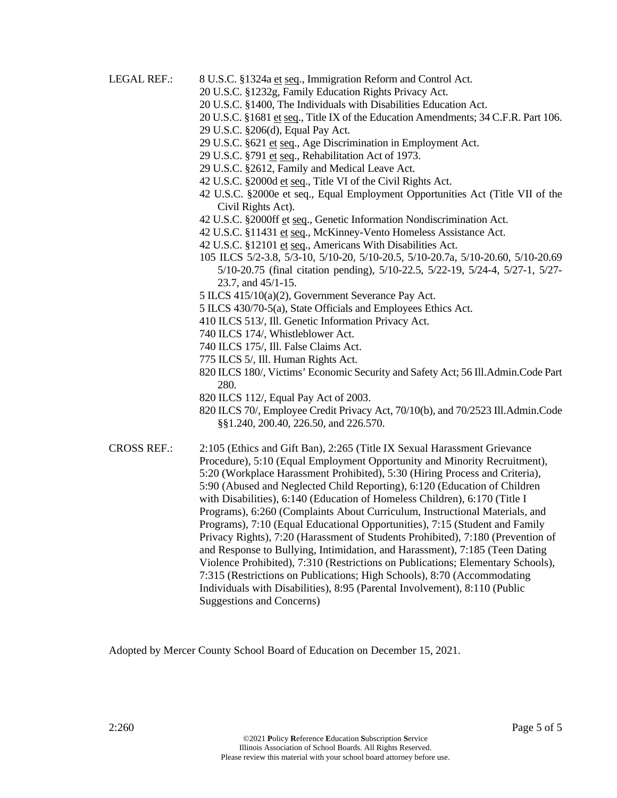- LEGAL REF.: 8 U.S.C. §1324a et seq., Immigration Reform and Control Act.
	- 20 U.S.C. §1232g, Family Education Rights Privacy Act.
	- 20 U.S.C. §1400, The Individuals with Disabilities Education Act.
	- 20 U.S.C. §1681 et seq., Title IX of the Education Amendments; 34 C.F.R. Part 106.
	- 29 U.S.C. §206(d), Equal Pay Act.
	- 29 U.S.C. §621 et seq., Age Discrimination in Employment Act.
	- 29 U.S.C. §791 et seq., Rehabilitation Act of 1973.
	- 29 U.S.C. §2612, Family and Medical Leave Act.
	- 42 U.S.C. §2000d et seq., Title VI of the Civil Rights Act.
	- 42 U.S.C. §2000e et seq., Equal Employment Opportunities Act (Title VII of the Civil Rights Act).
	- 42 U.S.C. §2000ff et seq., Genetic Information Nondiscrimination Act.
	- 42 U.S.C. §11431 et seq., McKinney-Vento Homeless Assistance Act.
	- 42 U.S.C. §12101 et seq., Americans With Disabilities Act.
	- 105 ILCS 5/2-3.8, 5/3-10, 5/10-20, 5/10-20.5, 5/10-20.7a, 5/10-20.60, 5/10-20.69 5/10-20.75 (final citation pending), 5/10-22.5, 5/22-19, 5/24-4, 5/27-1, 5/27- 23.7, and 45/1-15.
	- 5 ILCS 415/10(a)(2), Government Severance Pay Act.
	- 5 ILCS 430/70-5(a), State Officials and Employees Ethics Act.
	- 410 ILCS 513/, Ill. Genetic Information Privacy Act.
	- 740 ILCS 174/, Whistleblower Act.
	- 740 ILCS 175/, Ill. False Claims Act.
	- 775 ILCS 5/, Ill. Human Rights Act.
	- 820 ILCS 180/, Victims' Economic Security and Safety Act; 56 Ill.Admin.Code Part 280.
	- 820 ILCS 112/, Equal Pay Act of 2003.
	- 820 ILCS 70/, Employee Credit Privacy Act, 70/10(b), and 70/2523 Ill.Admin.Code §§1.240, 200.40, 226.50, and 226.570.
- CROSS REF.: 2:105 (Ethics and Gift Ban), 2:265 (Title IX Sexual Harassment Grievance Procedure), 5:10 (Equal Employment Opportunity and Minority Recruitment), 5:20 (Workplace Harassment Prohibited), 5:30 (Hiring Process and Criteria), 5:90 (Abused and Neglected Child Reporting), 6:120 (Education of Children with Disabilities), 6:140 (Education of Homeless Children), 6:170 (Title I Programs), 6:260 (Complaints About Curriculum, Instructional Materials, and Programs), 7:10 (Equal Educational Opportunities), 7:15 (Student and Family Privacy Rights), 7:20 (Harassment of Students Prohibited), 7:180 (Prevention of and Response to Bullying, Intimidation, and Harassment), 7:185 (Teen Dating Violence Prohibited), 7:310 (Restrictions on Publications; Elementary Schools), 7:315 (Restrictions on Publications; High Schools), 8:70 (Accommodating Individuals with Disabilities), 8:95 (Parental Involvement), 8:110 (Public Suggestions and Concerns)

Adopted by Mercer County School Board of Education on December 15, 2021.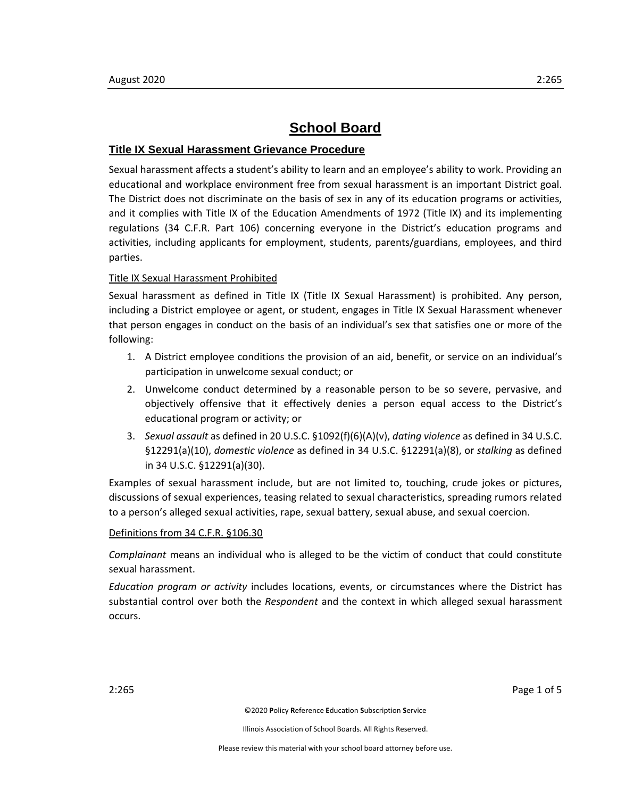## **Title IX Sexual Harassment Grievance Procedure**

Sexual harassment affects a student's ability to learn and an employee's ability to work. Providing an educational and workplace environment free from sexual harassment is an important District goal. The District does not discriminate on the basis of sex in any of its education programs or activities, and it complies with Title IX of the Education Amendments of 1972 (Title IX) and its implementing regulations (34 C.F.R. Part 106) concerning everyone in the District's education programs and activities, including applicants for employment, students, parents/guardians, employees, and third parties.

#### Title IX Sexual Harassment Prohibited

Sexual harassment as defined in Title IX (Title IX Sexual Harassment) is prohibited. Any person, including a District employee or agent, or student, engages in Title IX Sexual Harassment whenever that person engages in conduct on the basis of an individual's sex that satisfies one or more of the following:

- 1. A District employee conditions the provision of an aid, benefit, or service on an individual's participation in unwelcome sexual conduct; or
- 2. Unwelcome conduct determined by a reasonable person to be so severe, pervasive, and objectively offensive that it effectively denies a person equal access to the District's educational program or activity; or
- 3. *Sexual assault* as defined in 20 U.S.C. §1092(f)(6)(A)(v), *dating violence* as defined in 34 U.S.C. §12291(a)(10), *domestic violence* as defined in 34 U.S.C. §12291(a)(8), or *stalking* as defined in 34 U.S.C. §12291(a)(30).

Examples of sexual harassment include, but are not limited to, touching, crude jokes or pictures, discussions of sexual experiences, teasing related to sexual characteristics, spreading rumors related to a person's alleged sexual activities, rape, sexual battery, sexual abuse, and sexual coercion.

#### Definitions from 34 C.F.R. §106.30

*Complainant* means an individual who is alleged to be the victim of conduct that could constitute sexual harassment.

*Education program or activity* includes locations, events, or circumstances where the District has substantial control over both the *Respondent* and the context in which alleged sexual harassment occurs.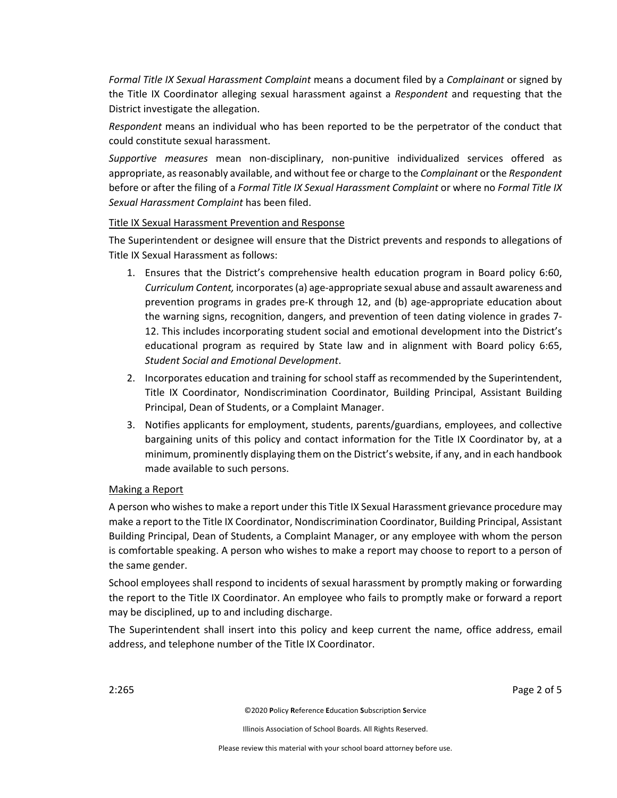*Formal Title IX Sexual Harassment Complaint* means a document filed by a *Complainant* or signed by the Title IX Coordinator alleging sexual harassment against a *Respondent* and requesting that the District investigate the allegation.

*Respondent* means an individual who has been reported to be the perpetrator of the conduct that could constitute sexual harassment.

*Supportive measures* mean non‐disciplinary, non‐punitive individualized services offered as appropriate, asreasonably available, and without fee or charge to the *Complainant* or the *Respondent* before or after the filing of a *Formal Title IX Sexual Harassment Complaint* or where no *Formal Title IX Sexual Harassment Complaint* has been filed.

### Title IX Sexual Harassment Prevention and Response

The Superintendent or designee will ensure that the District prevents and responds to allegations of Title IX Sexual Harassment as follows:

- 1. Ensures that the District's comprehensive health education program in Board policy 6:60, *Curriculum Content,* incorporates(a) age‐appropriate sexual abuse and assault awareness and prevention programs in grades pre‐K through 12, and (b) age‐appropriate education about the warning signs, recognition, dangers, and prevention of teen dating violence in grades 7‐ 12. This includes incorporating student social and emotional development into the District's educational program as required by State law and in alignment with Board policy 6:65, *Student Social and Emotional Development*.
- 2. Incorporates education and training for school staff as recommended by the Superintendent, Title IX Coordinator, Nondiscrimination Coordinator, Building Principal, Assistant Building Principal, Dean of Students, or a Complaint Manager.
- 3. Notifies applicants for employment, students, parents/guardians, employees, and collective bargaining units of this policy and contact information for the Title IX Coordinator by, at a minimum, prominently displaying them on the District's website, if any, and in each handbook made available to such persons.

## Making a Report

A person who wishesto make a report under this Title IX Sexual Harassment grievance procedure may make a report to the Title IX Coordinator, Nondiscrimination Coordinator, Building Principal, Assistant Building Principal, Dean of Students, a Complaint Manager, or any employee with whom the person is comfortable speaking. A person who wishes to make a report may choose to report to a person of the same gender.

School employees shall respond to incidents of sexual harassment by promptly making or forwarding the report to the Title IX Coordinator. An employee who fails to promptly make or forward a report may be disciplined, up to and including discharge.

The Superintendent shall insert into this policy and keep current the name, office address, email address, and telephone number of the Title IX Coordinator.

©2020 **P**olicy **R**eference **E**ducation **S**ubscription **S**ervice

Illinois Association of School Boards. All Rights Reserved.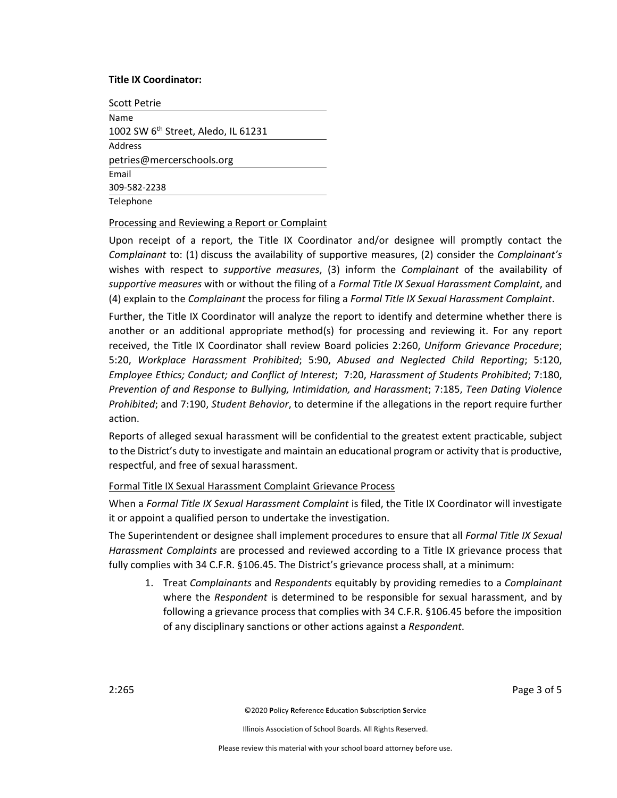#### **Title IX Coordinator:**

Scott Petrie Name 1002 SW  $6<sup>th</sup>$  Street, Aledo, IL 61231 Address petries@mercerschools.org Email 309‐582‐2238 Telephone

#### Processing and Reviewing a Report or Complaint

Upon receipt of a report, the Title IX Coordinator and/or designee will promptly contact the *Complainant* to: (1) discuss the availability of supportive measures, (2) consider the *Complainant's* wishes with respect to *supportive measures*, (3) inform the *Complainant* of the availability of *supportive measures* with or without the filing of a *Formal Title IX Sexual Harassment Complaint*, and (4) explain to the *Complainant* the process for filing a *Formal Title IX Sexual Harassment Complaint*.

Further, the Title IX Coordinator will analyze the report to identify and determine whether there is another or an additional appropriate method(s) for processing and reviewing it. For any report received, the Title IX Coordinator shall review Board policies 2:260, *Uniform Grievance Procedure*; 5:20, *Workplace Harassment Prohibited*; 5:90, *Abused and Neglected Child Reporting*; 5:120, *Employee Ethics; Conduct; and Conflict of Interest*; 7:20, *Harassment of Students Prohibited*; 7:180, *Prevention of and Response to Bullying, Intimidation, and Harassment*; 7:185, *Teen Dating Violence Prohibited*; and 7:190, *Student Behavior*, to determine if the allegations in the report require further action.

Reports of alleged sexual harassment will be confidential to the greatest extent practicable, subject to the District's duty to investigate and maintain an educational program or activity that is productive, respectful, and free of sexual harassment.

#### Formal Title IX Sexual Harassment Complaint Grievance Process

When a *Formal Title IX Sexual Harassment Complaint* is filed, the Title IX Coordinator will investigate it or appoint a qualified person to undertake the investigation.

The Superintendent or designee shall implement procedures to ensure that all *Formal Title IX Sexual Harassment Complaints* are processed and reviewed according to a Title IX grievance process that fully complies with 34 C.F.R. §106.45. The District's grievance process shall, at a minimum:

1. Treat *Complainants* and *Respondents* equitably by providing remedies to a *Complainant* where the *Respondent* is determined to be responsible for sexual harassment, and by following a grievance process that complies with 34 C.F.R. §106.45 before the imposition of any disciplinary sanctions or other actions against a *Respondent*.

2:265 Page 3 of 5

©2020 **P**olicy **R**eference **E**ducation **S**ubscription **S**ervice

Illinois Association of School Boards. All Rights Reserved.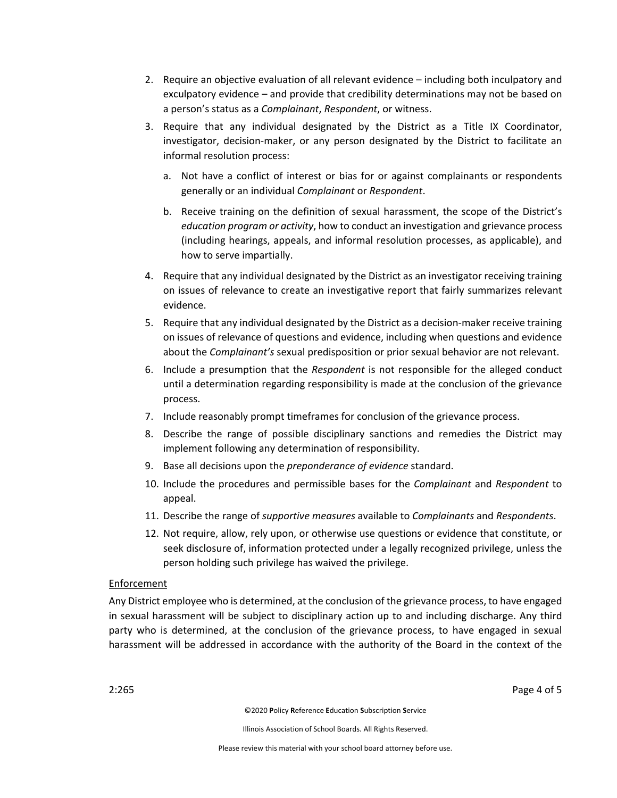- 2. Require an objective evaluation of all relevant evidence including both inculpatory and exculpatory evidence – and provide that credibility determinations may not be based on a person's status as a *Complainant*, *Respondent*, or witness.
- 3. Require that any individual designated by the District as a Title IX Coordinator, investigator, decision‐maker, or any person designated by the District to facilitate an informal resolution process:
	- a. Not have a conflict of interest or bias for or against complainants or respondents generally or an individual *Complainant* or *Respondent*.
	- b. Receive training on the definition of sexual harassment, the scope of the District's *education program or activity*, how to conduct an investigation and grievance process (including hearings, appeals, and informal resolution processes, as applicable), and how to serve impartially.
- 4. Require that any individual designated by the District as an investigator receiving training on issues of relevance to create an investigative report that fairly summarizes relevant evidence.
- 5. Require that any individual designated by the District as a decision-maker receive training on issues of relevance of questions and evidence, including when questions and evidence about the *Complainant's* sexual predisposition or prior sexual behavior are not relevant.
- 6. Include a presumption that the *Respondent* is not responsible for the alleged conduct until a determination regarding responsibility is made at the conclusion of the grievance process.
- 7. Include reasonably prompt timeframes for conclusion of the grievance process.
- 8. Describe the range of possible disciplinary sanctions and remedies the District may implement following any determination of responsibility.
- 9. Base all decisions upon the *preponderance of evidence* standard.
- 10. Include the procedures and permissible bases for the *Complainant* and *Respondent* to appeal.
- 11. Describe the range of *supportive measures* available to *Complainants* and *Respondents*.
- 12. Not require, allow, rely upon, or otherwise use questions or evidence that constitute, or seek disclosure of, information protected under a legally recognized privilege, unless the person holding such privilege has waived the privilege.

### Enforcement

Any District employee who is determined, at the conclusion of the grievance process, to have engaged in sexual harassment will be subject to disciplinary action up to and including discharge. Any third party who is determined, at the conclusion of the grievance process, to have engaged in sexual harassment will be addressed in accordance with the authority of the Board in the context of the

2:265 Page 4 of 5

©2020 **P**olicy **R**eference **E**ducation **S**ubscription **S**ervice

Illinois Association of School Boards. All Rights Reserved.